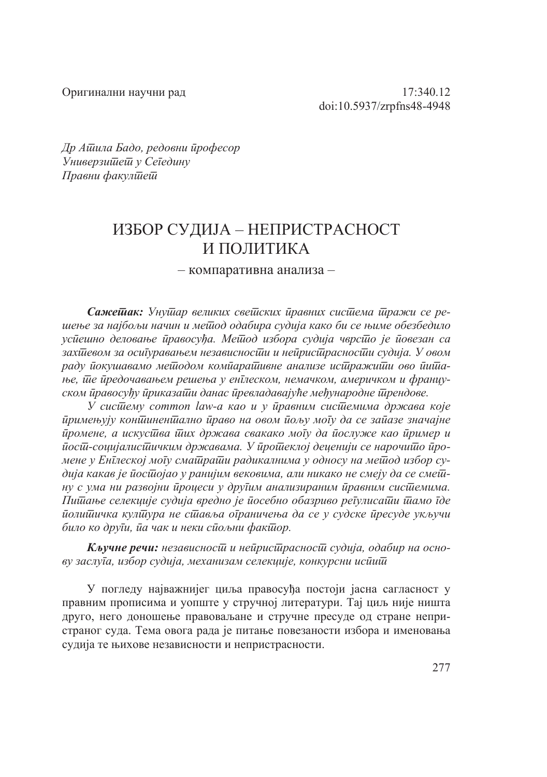$\Delta$ *Др Айила Бадо, редовни йрофесор ɍɧɢɜɟɪɡɢɬɟɬ ɭ ɋɟɝɟɞɢɧɭ* Правни факул*ійе*й

# ИЗБОР СУДИЈА – НЕПРИСТРАСНОСТ И ПОЛИТИКА

– компаративна анализа –

**Сажейак:** Унушар великих свешских иравних сисшема шражи се ре $u$ ење за најбољи начин и ме $\overline{u}$ од одабира судија како би се њиме обезбедило усиешно деловање иравосуђа. Мешод избора судија чврсшо је иовезан са захиїевом за осиїуравањем независносии и нейрисиїрасносии судија. У овом  $pa\partial y$  *йокушавамо мейодом комйарайшвне анализе исидражийи ово и́шиа-* $H$ ье, *ие иредочавањем решења у енидеском, немачком, америчком и францу* $c$ ком *иравосуђу ириказаши данас иревладавајуће међународне шрендове.* 

 $$  $\bar{u}$ римењују кон $\bar{u}u$ нен $\bar{u}a$ лно  $\bar{u}p$ аво на овом  $\bar{u}o$ љу мо $\bar{i}v$  да се за $\bar{u}a$ зе значајне  $\bar{u}$ ромене, а искусшва ших држава свакако моїу да йослуже као йример и  $\bar{u}$ ос $\bar{u}$ -социјалис $\bar{u}$ ичким државама. У  $\bar{u}$ ро $\bar{u}$ еклој деценији се нарочи $\bar{u}$ о  $\bar{u}$ ро- $M$ ене у Енīлеској моīу смашраши радикалнима у односу на мешод избор су- $\partial u_i$ а какав је *йостојао у ранијим вековима, али никако не смеју да се смет-* $HY$  с ума ни развојни *йроцеси у дру*йим анализираним *йравним сисидемима*.  $\Pi$ ишање селекције судија вредно је ӣосебно обазриво ре $\bar{\textit{v}}$ улисаши шамо  $\bar{\textit{u}}$ де  $\bar{u}$ олишичка кулшура не сшавља оīраничења да се у судске *йресуде укључи*  $6u$ ло ко друїи, йа чак и неки сйољни фактор.

Кључне речи: независносии и нейриси расносии судија, одабир на осно*ɜɭ ɡɚɫɥɭɝɚ, ɢɡɛɨɪ ɫɭɞɢʁɚ, ɦɟɯɚɧɢɡɚɦ ɫɟɥɟɤɰɢʁɟ, ɤɨɧɤɭɪɫɧɢ ɢɫɩɢɬ* 

У погледу најважнијег циља правосуђа постоји јасна сагласност у правним прописима и уопште у стручној литератури. Тај циљ није ништа друго, него доношење правоваљане и стручне пресуде од стране непристраног суда. Тема овога рада је питање повезаности избора и именовања судија те њихове независности и непристрасности.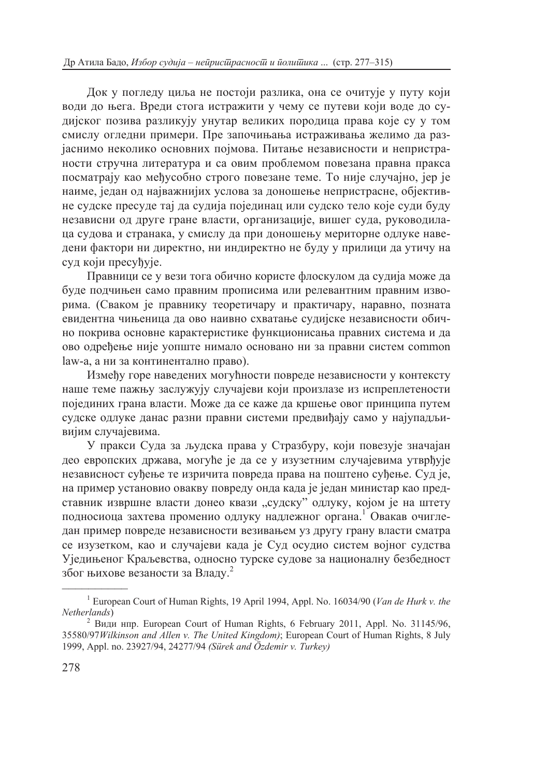Док у погледу циља не постоји разлика, она се очитује у путу који води до њега. Вреди стога истражити у чему се путеви који воде до судијског позива разликују унутар великих породица права које су у том смислу огледни примери. Пре започињања истраживања желимо да разіаснимо неколико основних појмова. Питање независности и непристраности стручна литература и са овим проблемом повезана правна пракса посматрају као међусобно строго повезане теме. То није случајно, јер је наиме, један од најважнијих услова за доношење непристрасне, објективне судске пресуде тај да судија појединац или судско тело које суди буду независни од друге гране власти, организације, вишег суда, руководилаца судова и странака, у смислу да при доношењу мериторне одлуке наведени фактори ни директно, ни индиректно не буду у прилици да утичу на суд који пресуђује.

Правници се у вези тога обично користе флоскулом да судија може да буде подчињен само правним прописима или релевантним правним изворима. (Сваком је правнику теоретичару и практичару, наравно, позната евидентна чињеница да ово наивно схватање судијске независности обично покрива основне карактеристике функционисања правних система и да ово одређење није уопште нимало основано ни за правни систем common law-а, а ни за континентално право).

Између горе наведених могућности повреде независности у контексту наше теме пажњу заслужују случајеви који произлазе из испреплетености појединих грана власти. Може да се каже да кршење овог принципа путем судске одлуке данас разни правни системи предвиђају само у најупадљивијим случајевима.

У пракси Суда за људска права у Стразбуру, који повезује значајан део европских држава, могуће је да се у изузетним случајевима утврђује независност суђење те изричита повреда права на поштено суђење. Суд је, на пример установио овакву повреду онда када је један министар као представник извршне власти донео квази "судску" одлуку, којом је на штету подносиоца захтева променио одлуку надлежног органа.<sup>1</sup> Овакав очигледан пример повреде независности везивањем уз другу грану власти сматра се изузетком, као и случајеви када је Суд осудио систем војног судства Уједињеног Краљевства, односно турске судове за националну безбедност због њихове везаности за Владу.<sup>2</sup>

<sup>1</sup> European Court of Human Rights, 19 April 1994, Appl. No. 16034/90 (*Van de Hurk v. the Netherlands*)

<sup>&</sup>lt;sup>2</sup> Види нпр. European Court of Human Rights, 6 February 2011, Appl. No. 31145/96, 35580/97*Wilkinson and Allen v. The United Kingdom)*; European Court of Human Rights, 8 July 1999, Appl. no. 23927/94, 24277/94 *(Sürek and Özdemir v. Turkey)*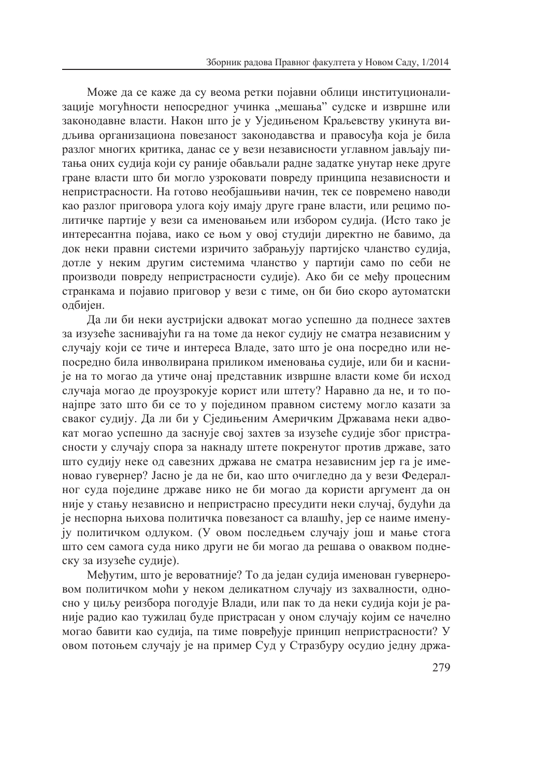Може да се каже да су веома ретки појавни облици институционализације могућности непосредног учинка "мешања" судске и извршне или законодавне власти. Након што је у Уједињеном Краљевству укинута видљива организациона повезаност законодавства и правосуђа која је била разлог многих критика, данас се у вези независности углавном јављају питања оних судија који су раније обављали радне задатке унутар неке друге гране власти што би могло узроковати повреду принципа независности и непристрасности. На готово необјашњиви начин, тек се повремено наводи као разлог приговора улога коју имају друге гране власти, или решимо политичке партије у вези са именовањем или избором судија. (Исто тако је интересантна појава, иако се њом у овој студији директно не бавимо, да док неки правни системи изричито забрањују партијско чланство судија, дотле у неким другим системима чланство у партији само по себи не производи повреду непристрасности судије). Ако би се међу процесним странкама и појавио приговор у вези с тиме, он би био скоро аутоматски олбиіен.

Да ли би неки аустријски адвокат могао успешно да поднесе захтев за изузеће заснивајући га на томе да неког судију не сматра независним у случају који се тиче и интереса Владе, зато што је она посредно или непосредно била инволвирана приликом именовања судије, или би и касније на то могао да утиче онај представник извршне власти коме би исход случаја могао де проузрокује корист или штету? Наравно да не, и то понајпре зато што би се то у поједином правном систему могло казати за сваког судију. Да ли би у Сједињеним Америчким Државама неки адвокат могао успешно да заснује свој захтев за изузеће судије због пристрасности у случају спора за накнаду штете покренутог против државе, зато што судију неке од савезних држава не сматра независним јер га је именовао гувернер? Јасно је да не би, као што очигледно да у вези Федералног суда поједине државе нико не би могао да користи аргумент да он није у стању независно и непристрасно пресудити неки случај, будући да је неспорна њихова политичка повезаност са влашћу, јер се наиме именују политичком одлуком. (У овом последњем случају још и мање стога што сем самога суда нико други не би могао да решава о оваквом поднеску за изузеће судије).

Међутим, што је вероватније? То да један судија именован гувернеровом политичком моћи у неком деликатном случају из захвалности, односно у циљу реизбора погодује Влади, или пак то да неки судија који је раније радио као тужилац буде пристрасан у оном случају којим се начелно могао бавити као судија, па тиме повређује принцип непристрасности? У овом потоњем случају је на пример Суд у Стразбуру осудио једну држа-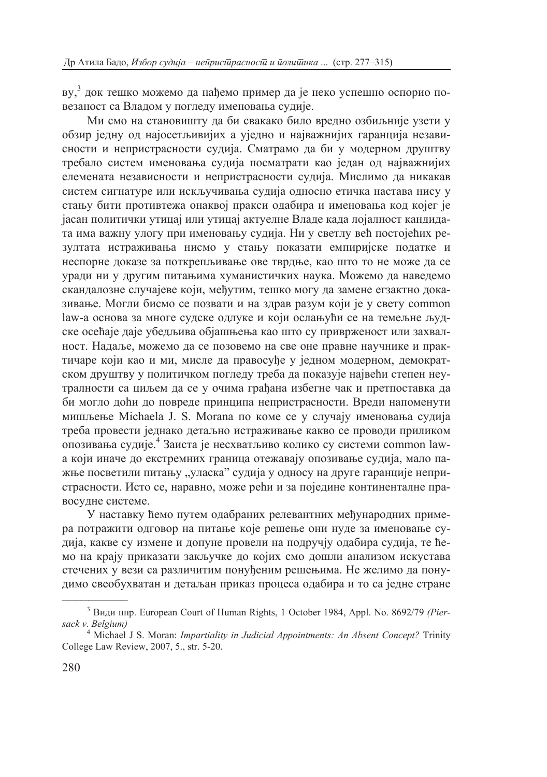ву,<sup>3</sup> док тешко можемо да нађемо пример да је неко успешно оспорио повезаност са Владом у погледу именовања судије.

Ми смо на становишту да би свакако било вредно озбиљније узети у обзир једну од најосетљивијих а уједно и најважнијих гаранција независности и непристрасности судија. Сматрамо да би у модерном друштву требало систем именовања судија посматрати као један од најважнијих елемената независности и непристрасности судија. Мислимо да никакав систем сигнатуре или искључивања судија односно етичка настава нису у стању бити противтежа онаквој пракси одабира и именовања код којег је јасан политички утицај или утицај актуелне Владе када лојалност кандидата има важну улогу при именовању судија. Ни у светлу већ постојећих резултата истраживања нисмо у стању показати емпиријске податке и неспорне доказе за поткрепљивање ове тврдње, као што то не може да се уради ни у другим питањима хуманистичких наука. Можемо да наведемо скандалозне случајеве који, међутим, тешко могу да замене егзактно доказивање. Могли бисмо се позвати и на здрав разум који је у свету common law-а основа за многе судске одлуке и који ослањући се на темељне људске осећаје даје убедљива објашњења као што су приврженост или захвалност. Надаље, можемо да се позовемо на све оне правне научнике и практичаре који као и ми, мисле да правосуђе у једном модерном, демократском друштву у политичком погледу треба да показује највећи степен неутралности са циљем да се у очима грађана избегне чак и претпоставка да би могло доћи до повреде принципа непристрасности. Вреди напоменути мишљење Michaela J. S. Morana по коме се у случају именовања судија треба провести једнако детаљно истраживање какво се проводи приликом опозивања судије.<sup>4</sup> Заиста је несхватљиво колико су системи common lawа који иначе до екстремних граница отежавају опозивање судија, мало пажње посветили питању "уласка" судија у односу на друге гаранције непристрасности. Исто се, наравно, може рећи и за поједине континенталне правосудне системе.

У наставку ћемо путем одабраних релевантних међународних примера потражити одговор на питање које решење они нуде за именовање судија, какве су измене и допуне провели на подручју одабира судија, те ћемо на крају приказати закључке до којих смо дошли анализом искустава стечених у вези са различитим понуђеним решењима. Не желимо да понудимо свеобухватан и детаљан приказ процеса одабира и то са једне стране

<sup>&</sup>lt;sup>3</sup> Види нпр. European Court of Human Rights, 1 October 1984, Appl. No. 8692/79 *(Piersack v. Belgium)* 

<sup>4</sup> Michael J S. Moran: *Impartiality in Judicial Appointments: An Absent Concept?* Trinity College Law Review, 2007, 5., str. 5-20.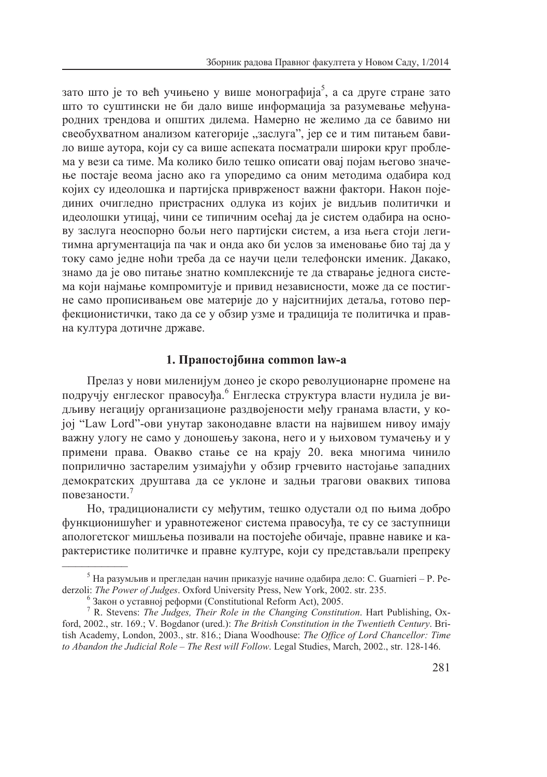зато што је то већ учињено у више монографија<sup>5</sup>, а са друге стране зато што то суштински не би дало више информација за разумевање међународних трендова и општих дилема. Намерно не желимо да се бавимо ни свеобухватном анализом категорије "заслуга", јер се и тим питањем бавило више аутора, који су са више аспеката посматрали широки круг проблема у вези са тиме. Ма колико било тешко описати овај појам његово значење постаје веома јасно ако га упоредимо са оним методима одабира код којих су идеолошка и партијска приврженост важни фактори. Након појединих очигледно пристрасних одлука из којих је видљив политички и идеолошки утицај, чини се типичним осећај да је систем одабира на основу заслуга неоспорно бољи него партијски систем, а иза њега стоји легитимна аргументација па чак и онда ако би услов за именовање био тај да у току само једне ноћи треба да се научи цели телефонски именик. Дакако. знамо да је ово питање знатно комплексније те да стварање једнога система који најмање компромитује и привид независности, може да се постигне само прописивањем ове материје до у најситнијих детаља, готово перфекционистички, тако да се у обзир узме и традиција те политичка и правна култура дотичне државе.

#### **1. Прапостојбина соттоп law-a**

Прелаз у нови миленијум донео је скоро револуционарне промене на подручју енглеског правосуђа.<sup>6</sup> Енглеска структура власти нудила је видљиву негацију организационе раздвојености међу гранама власти, у коioi "Law Lord"-ови унутар законодавне власти на највишем нивоу имају важну улогу не само у доношењу закона, него и у њиховом тумачењу и у примени права. Овакво стање се на крају 20. века многима чинило поприлично застарелим узимајући у обзир грчевито настојање западних демократских друштава да се уклоне и задњи трагови оваквих типова повезаности. $^7$ 

Но, традиционалисти су међутим, тешко одустали од по њима добро функционишућег и уравнотеженог система правосуђа, те су се заступници апологетског мишљења позивали на постојеће обичаје, правне навике и карактеристике политичке и правне културе, који су представљали препреку

<sup>––––––––––</sup>   $5$  На разумљив и прегледан начин приказује начине одабира дело: С. Guarnieri – Р. Реderzoli: *The Power of Judges*. Oxford University Press, New York, 2002. str. 235.

<sup>&</sup>lt;sup>6</sup> Закон о уставној реформи (Constitutional Reform Act), 2005.

<sup>7</sup> R. Stevens: *The Judges, Their Role in the Changing Constitution*. Hart Publishing, Oxford, 2002., str. 169.; V. Bogdanor (ured.): *The British Constitution in the Twentieth Century*. British Academy, London, 2003., str. 816.; Diana Woodhouse: *The Office of Lord Chancellor: Time to Abandon the Judicial Role – The Rest will Follow*. Legal Studies, March, 2002., str. 128-146.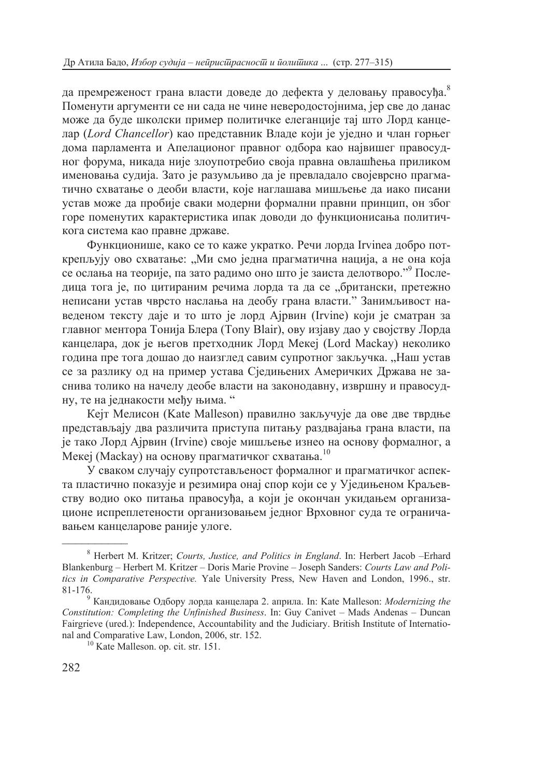да премреженост грана власти доведе до дефекта у деловању правосуђа. $^8$ Поменути аргументи се ни сада не чине неверодостојнима, јер све до данас може да буде школски пример политичке елеганције тај што Лорд канцелар (Lord Chancellor) као представник Владе који је уједно и члан горњег дома парламента и Апелационог правног одбора као највишег правосудног форума, никада није злоупотребио своја правна овлашћења приликом именовања судија. Зато је разумљиво да је превладало својеврсно прагматично схватање о деоби власти, које наглашава мишљење да иако писани устав може да пробије сваки модерни формални правни принцип, он због горе поменутих карактеристика ипак доводи до функционисања политичкога система као правне државе.

Функционише, како се то каже укратко. Речи лорда Irvinea добро поткрепљују ово схватање: "Ми смо једна прагматична нација, а не она која се ослања на теорије, па зато радимо оно што је заиста делотворо."<sup>9</sup> Последица тога је, по цитираним речима лорда та да се "британски, претежно неписани устав чврсто наслања на деобу грана власти." Занимљивост наведеном тексту даје и то што је лорд Ајрвин (Irvine) који је сматран за главног ментора Тонија Блера (Tony Blair), ову изјаву дао у својству Лорда канцелара, док је његов претходник Лорд Мекеј (Lord Mackay) неколико година пре тога дошао до наизглед савим супротног закључка. "Наш устав се за разлику од на пример устава Сједињених Америчких Држава не заснива толико на начелу деобе власти на законодавну, извршну и правосудну, те на једнакости међу њима. "

Кејт Мелисон (Kate Malleson) правилно закључује да ове две тврдње представљају два различита приступа питању раздвајања грана власти, па је тако Лорд Ајрвин (Irvine) своје мишљење изнео на основу формалног, а Мекеј (Mackay) на основу прагматичког схватања.<sup>10</sup>

У сваком случају супротстављеност формалног и прагматичког аспекта пластично показује и резимира онај спор који се у Уједињеном Краљевству водио око питања правосуђа, а који је окончан укидањем организационе испреплетености организовањем једног Врховног суда те ограничавањем канцеларове раније улоге.

<sup>8</sup> Herbert M. Kritzer; *Courts, Justice, and Politics in England*. In: Herbert Jacob –Erhard Blankenburg – Herbert M. Kritzer – Doris Marie Provine – Joseph Sanders: *Courts Law and Politics in Comparative Perspective.* Yale University Press, New Haven and London, 1996., str. 81-176.

<sup>&</sup>lt;sup>9</sup> Кандидовање Одбору лорда канцелара 2. априла. In: Kate Malleson: *Modernizing the Constitution: Completing the Unfinished Business*. In: Guy Canivet – Mads Andenas – Duncan Fairgrieve (ured.): Independence, Accountability and the Judiciary. British Institute of International and Comparative Law, London, 2006, str. 152.

<sup>&</sup>lt;sup>10</sup> Kate Malleson. op. cit. str. 151.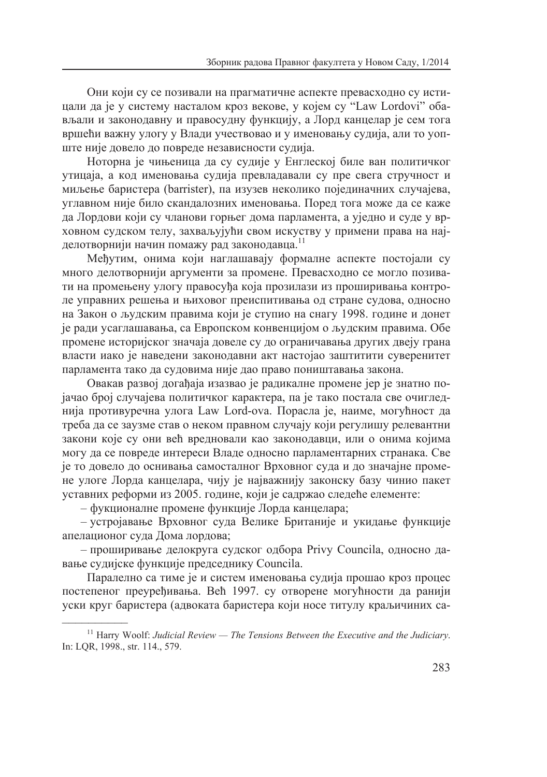Они који су се позивали на прагматичне аспекте превасходно су истицали да је у систему насталом кроз векове, у којем су "Law Lordovi" обављали и законодавну и правосудну функцију, а Лорд канцелар је сем тога вршећи важну улогу у Влади учествовао и у именовању судија, али то уопште није довело до повреде независности судија.

Ноторна је чињеница да су судије у Енглеској биле ван политичког утицаја, а код именовања судија превладавали су пре свега стручност и миљење баристера (barrister), па изузев неколико појединачних случајева, углавном није било скандалозних именовања. Поред тога може да се каже да Лордови који су чланови горњег дома парламента, а уједно и суде у врховном судском телу, захваљујући свом искуству у примени права на најделотворнији начин помажу рад законодавца. <sup>11</sup>

Међутим, онима који наглашавају формалне аспекте постојали су много делотворнији аргументи за промене. Превасходно се могло позивати на промењену улогу правосуђа која прозилази из проширивања контроле управних решења и њиховог преиспитивања од стране судова, односно на Закон о људским правима који је ступио на снагу 1998. године и донет је ради усаглашавања, са Европском конвенцијом о људским правима. Обе промене историјског значаја довеле су до ограничавања других двеју грана власти иако је наведени законодавни акт настојао заштитити суверенитет парламента тако да судовима није дао право поништавања закона.

Овакав развој догађаја изазвао је радикалне промене јер је знатно појачао број случајева политичког карактера, па је тако постала све очигледнија противуречна улога Law Lord-ova. Порасла је, наиме, могућност да треба да се заузме став о неком правном случају који регулишу релевантни закони које су они већ вредновали као законодавци, или о онима којима могу да се повреде интереси Владе односно парламентарних странака. Све је то довело до оснивања самосталног Врховног суда и до значајне промене улоге Лорда канцелара, чију је најважнију законску базу чинио пакет уставних реформи из 2005. године, који је садржао следеће елементе:

– фукционалне промене функције Лорда канцелара;

––––––––––

- устројавање Врховног суда Велике Британије и укидање функције апелационог суда Дома лордова;

– проширивање делокруга судског одбора Privy Councila, односно давање судијске функције председнику Councila.

Паралелно са тиме је и систем именовања судија прошао кроз процес постепеног преуређивања. Већ 1997. су отворене могућности да ранији уски круг баристера (адвоката баристера који носе титулу краљичиних са-

<sup>11</sup> Harry Woolf: *Judicial Review — The Tensions Between the Executive and the Judiciary*. In: LQR, 1998., str. 114., 579.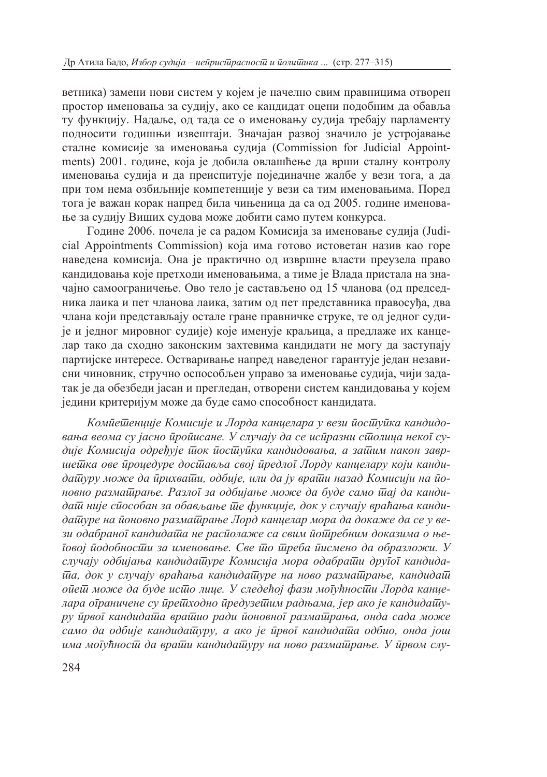ветника) замени нови систем у којем је начелно свим правницима отворен простор именовања за судију, ако се кандидат оцени подобним да обавља ту функцију. Надаље, од тада се о именовању судија требају парламенту подносити годишњи извештаји. Значајан развој значило је устројавање сталне комисије за именовања судија (Commission for Judicial Appointments) 2001. године, која је добила овлашћење да врши сталну контролу именовања судија и да преиспитује појединачне жалбе у вези тога, а да при том нема озбиљније компетенције у вези са тим именовањима. Поред тога је важан корак напред била чињеница да са од 2005. године именовање за судију Виших судова може добити само путем конкурса.

Године 2006. почела је са радом Комисија за именовање судија (Judicial Appointments Commission) која има готово истоветан назив као горе наведена комисија. Она је практично од извршне власти преузела право кандидовања које претходи именовањима, а тиме је Влада пристала на значајно самоограничење. Ово тело је састављено од 15 чланова (од председника лаика и пет чланова лаика, затим од пет представника правосуђа, два члана који представљају остале гране правничке струке, те од једног судије и једног мировног судије) које именује краљица, а предлаже их канцелар тако да сходно законским захтевима кандидати не могу да заступају партијске интересе. Остваривање напред наведеног гарантује један независни чиновник, стручно оспособљен управо за именовање судија, чији задатак је да обезбеди јасан и прегледан, отворени систем кандидовања у којем іедини критеријум може да буде само способност кандидата.

Комиешенције Комисије и Лорда канцелара у вези иосшуика кандидо*ɜɚʃɚ ɜɟɨɦɚ ɫɭ ʁɚɫɧɨ ɩɪɨɩɢɫɚɧɟ. ɍ ɫɥɭɱɚʁɭ ɞɚ ɫɟ ɢɫɩɪɚɡɧɢ ɫɬɨɥɢɰɚ ɧɟɤɨɝ ɫɭ*дије Комисија одређује *йок йосичдика кандидовања, а зайим након завр*иешка ове *ироцедуре досшавља свој иредло* Лорду канцелару који кандидашуру може да ирихваши, одбије, или да ју враши назад Комисији на ио- $\mu$ овно размашрање. Разлої за одбијање може да буде само шај да канди- $\partial$ аш није сиособан за обављање ше функције, док у случају враћања канди- $\partial a\overline{u}$ уре на *йоновно размайдрање Лорд канцелар мора да докаже да се у ве-* $3u$  одабраної кандидайна не расиолаже са свим иошребним доказима о ње- $\bar{a}$ иодобносии за именовање. Све шо шреба иисмено да образложи. У случају одбијања кандидашуре Комисија мора одабраши друїої кандида- $\overline{wa}$ , док у случају враћања кандидашуре на ново размашрање, кандидаш  $o$ *йе́ш може да буде исшо лице. У следећој фази моїућносии Лорда канце*лара оїраничене су йрейходно йредузейшм радњама, јер ако је кандидайу $py$  *ирвот кандидаша врашио ради ионовнот размашрања, онда сада може*  $c$ амо да одбије кандидашуру, а ако је ирвої кандидаша одбио, онда још  $u$ ма моїућносии да врайш кандидайцуру на ново размайдање. У йрвом слу-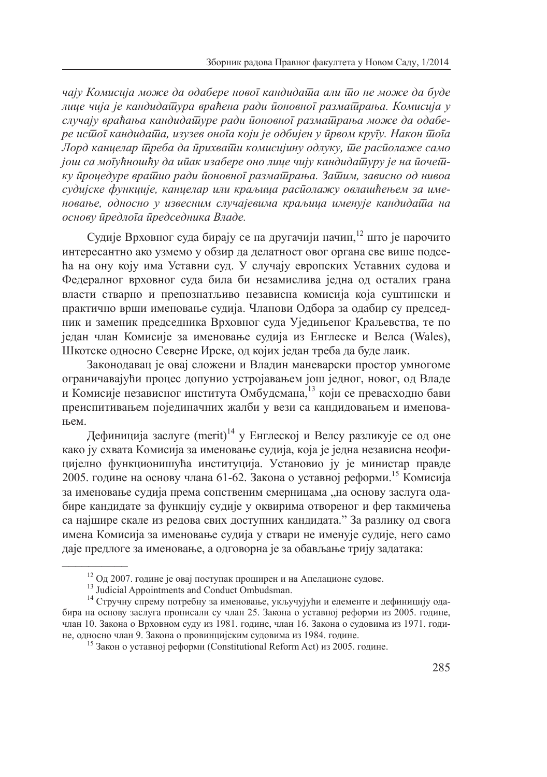чају Комисија може да одабере нової кандидата али то не може да буде дице чија је кандидашура враћена ради *йоновної размашрања. Комисија* у случају враћања кандидашуре ради ионовної размашрања може да одабе $pe$  исшої кандидаша, изузев оноїа који је одбијен у йрвом круїу. Након шоїа  $J$ Юрд канцелар *йиреба да йрихвайи комисијину одлуку, йе расйолаже само*  $i$ *юш са моїућношћу да ийак изабере оно лице чију кандидашуру је на йочей-* $\kappa$ v *ūpouedype врашио ради ионовної размашрања. Зашим, зависно од нивоа*  $c$ удијске функције, канцелар или краљица расиолажу овлашћењем за име- $\mu$ иовање, односно у извесним случајевима краљица именује кандидаша на  $o$ снову *йредлоїа йредседника Владе*.

Судије Врховног суда бирају се на другачији начин,<sup>12</sup> што је нарочито интересантно ако узмемо у обзир да делатност овог органа све више подсећа на ону коју има Уставни суд. У случају европских Уставних судова и Федералног врховног суда била би незамислива једна од осталих грана власти стварно и препознатљиво независна комисија која суштински и практично врши именовање судија. Чланови Одбора за одабир су председник и заменик председника Врховног суда Уједињеног Краљевства, те по један члан Комисије за именовање судија из Енглеске и Велса (Wales), Шкотске односно Северне Ирске, од којих један треба да буде лаик.

Законодавац је овај сложени и Владин маневарски простор умногоме ограничавајући процес допунио устројавањем још једног, новог, од Владе и Комисије независног института Омбудсмана,<sup>13</sup> који се превасходно бави преиспитивањем појединачних жалби у вези са кандидовањем и именовањем.

Дефиниција заслуге (merit)<sup>14</sup> у Енглеској и Велсу разликује се од оне како ју схвата Комисија за именовање судија, која је једна независна неофицијелно функционишућа институција. Установио ју је министар правде 2005. године на основу члана 61-62. Закона о уставној реформи.<sup>15</sup> Комисија за именовање судија према сопственим смерницама "на основу заслуга одабире кандидате за функцију судије у оквирима отвореног и фер такмичења са најшире скале из редова свих доступних кандидата." За разлику од свога имена Комисија за именовање судија у ствари не именује судије, него само даје предлоге за именовање, а одговорна је за обављање трију задатака:

 $12$  Од 2007. године је овај поступак проширен и на Апелационе судове.

<sup>&</sup>lt;sup>13</sup> Judicial Appointments and Conduct Ombudsman.

<sup>14</sup> Стручну спрему потребну за именовање, укључујући и елементе и дефиницију одабира на основу заслуга прописали су члан 25. Закона о уставној реформи из 2005. године, члан 10. Закона о Врховном суду из 1981. године, члан 16. Закона о судовима из 1971. године, односно члан 9. Закона о провинцијским судовима из 1984. године.

<sup>&</sup>lt;sup>15</sup> Закон о уставној реформи (Constitutional Reform Act) из 2005. године.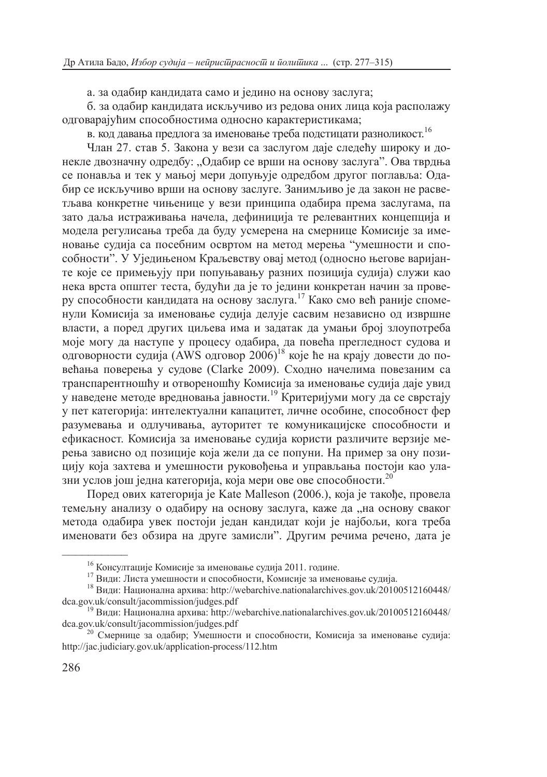а. за одабир кандидата само и једино на основу заслуга;

б. за одабир кандидата искључиво из редова оних лица која располажу одговарајућим способностима односно карактеристикама;

в. код давања предлога за именовање треба подстицати разноликост. <sup>16</sup>

Члан 27. став 5. Закона у вези са заслугом даје следећу широку и донекле двозначну одредбу: "Одабир се врши на основу заслуга". Ова тврдња се понавља и тек у мањој мери допуњује одредбом другог поглавља: Одабир се искључиво врши на основу заслуге. Занимљиво је да закон не расветљава конкретне чињенице у вези принципа одабира према заслугама, па зато даља истраживања начела, дефиниција те релевантних концепција и модела регулисања треба да буду усмерена на смернице Комисије за именовање судија са посебним освртом на метод мерења "умешности и способности". У Ујелињеном Краљевству овај метол (односно његове варијанте које се примењују при попуњавању разних позиција судија) служи као нека врста општег теста, будући да је то једини конкретан начин за проверу способности кандидата на основу заслуга.<sup>17</sup> Како смо већ раније споменули Комисија за именовање судија делује сасвим независно од извршне власти, а поред других циљева има и задатак да умањи број злоупотреба моје могу да наступе у процесу одабира, да повећа прегледност судова и одговорности судија (AWS одговор 2006)<sup>18</sup> које ће на крају довести до повећања поверења у судове (Clarke 2009). Сходно начелима повезаним са транспарентношћу и отвореношћу Комисија за именовање судија даје увид у наведене методе вредновања јавности.<sup>19</sup> Критеријуми могу да се сврстају у пет категорија: интелектуални капацитет, личне особине, способност фер разумевања и одлучивања, ауторитет те комуникацијске способности и ефикасност. Комисија за именовање судија користи различите верзије мерења зависно од позиције која жели да се попуни. На пример за ону позицију која захтева и умешности руковођења и управљања постоји као улазни услов још једна категорија, која мери ове ове способности.<sup>20</sup>

Поред ових категорија је Kate Malleson (2006.), која је такође, провела темељну анализу о одабиру на основу заслуга, каже да "на основу сваког метода одабира увек постоји један кандидат који је најбољи, кога треба именовати без обзира на друге замисли". Другим речима речено, дата је

<sup>&</sup>lt;sup>16</sup> Консултације Комисије за именовање судија 2011. године.

<sup>&</sup>lt;sup>17</sup> Види: Листа умешности и способности, Комисије за именовање судија.

 $18$  Види: Национална архива: http://webarchive.nationalarchives.gov.uk/20100512160448/ dca.gov.uk/consult/jacommission/judges.pdf

<sup>&</sup>lt;sup>19</sup> Види: Национална архива: http://webarchive.nationalarchives.gov.uk/20100512160448/ dca.gov.uk/consult/jacommission/judges.pdf

<sup>&</sup>lt;sup>20</sup> Смернице за одабир; Умешности и способности, Комисија за именовање судија: http://jac.judiciary.gov.uk/application-process/112.htm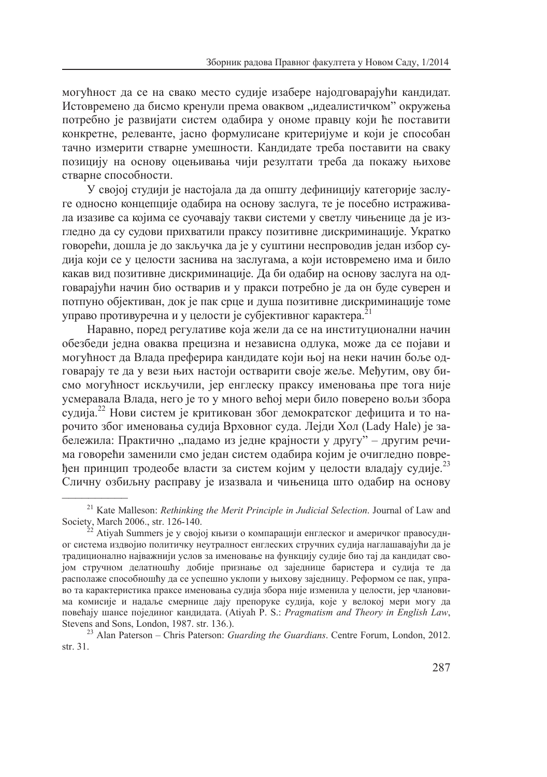могућност да се на свако место судије изабере најодговарајући кандидат. Истовремено да бисмо кренули према оваквом "идеалистичком" окружења потребно је развијати систем одабира у ономе правцу који ће поставити конкретне, релеванте, јасно формулисане критеријуме и који је способан тачно измерити стварне умешности. Кандидате треба поставити на сваку позицију на основу оцењивања чији резултати треба да покажу њихове стварне способности.

У својој студији је настојала да да општу дефиницију категорије заслуге односно концепције одабира на основу заслуга, те је посебно истраживада изазиве са којима се суочавају такви системи у светлу чињенице да је изгледно да су судови прихватили праксу позитивне дискриминације. Укратко говорећи, дошла је до закључка да је у суштини неспроводив један избор судија који се у целости заснива на заслугама, а који истовремено има и било какав вид позитивне дискриминације. Да би одабир на основу заслуга на одговарајући начин био остварив и у пракси потребно је да он буде суверен и потпуно објективан, док је пак срце и душа позитивне дискриминације томе управо противуречна и у целости је субјективног карактера.<sup>21</sup>

Наравно, поред регулативе која жели да се на институционални начин обезбеди једна оваква прецизна и независна одлука, може да се појави и могућност да Влада преферира кандидате који њој на неки начин боље одговарају те да у вези њих настоји остварити своје жеље. Међутим, ову бисмо могућност искључили, јер енглеску праксу именовања пре тога није усмеравала Влада, него је то у много већој мери било поверено вољи збора судија.<sup>22</sup> Нови систем је критикован због демократског дефицита и то нарочито због именовања судија Врховног суда. Лејди Хол (Lady Hale) је забележила: Практично "падамо из једне крајности у другу" – другим речима говорећи заменили смо један систем одабира којим је очигледно повређен принцип тродеобе власти за систем којим у целости владају судије.<sup>23</sup> Сличну озбиљну расправу је изазвала и чињеница што одабир на основу

<sup>21</sup> Kate Malleson: *Rethinking the Merit Principle in Judicial Selection*. Journal of Law and Society, March 2006., str. 126-140.

 $^{22}$  Atiyah Summers је у својој књизи о компарацији енглеског и америчког правосудног система издвојио политичку неутралност енглеских стручних судија наглашавајући да је традиционално најважнији услов за именовање на функцију судије био тај да кандидат својом стручном делатношћу добије признање од заједнице баристера и судија те да располаже способношћу да се успешно уклопи у њихову заједницу. Реформом се пак, управо та карактеристика праксе именовања судија збора није изменила у целости, јер члановима комисије и надаље смернице дају препоруке судија, које у велокој мери могу да повећају шансе појединог кандидата. (Atiyah P. S.: *Pragmatism and Theory in English Law*, Stevens and Sons, London, 1987. str. 136.).

<sup>23</sup> Alan Paterson – Chris Paterson: *Guarding the Guardians*. Centre Forum, London, 2012. str. 31.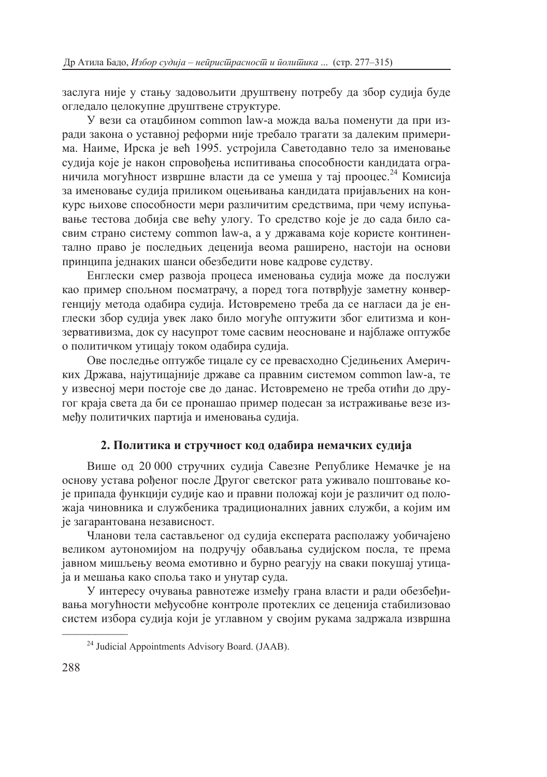заслуга није у стању задовољити друштвену потребу да збор судија буде огледало целокупне друштвене структуре.

У вези са отаџбином common law-а можда ваља поменути да при изради закона о уставној реформи није требало трагати за далеким примерима. Наиме, Ирска је већ 1995. устројила Саветодавно тело за именовање судија које је након спровођења испитивања способности кандидата ограничила могућност извршне власти да се умеша у тај прооцес.<sup>24</sup> Комисија за именовање судија приликом оцењивања кандидата пријављених на конкурс њихове способности мери различитим средствима, при чему испуњавање тестова добија све већу улогу. То средство које је до сада било сасвим страно систему common law-a, а у државама које користе континентално право је последњих деценија веома раширено, настоји на основи принципа једнаких шанси обезбедити нове кадрове судству.

Енглески смер развоја процеса именовања судија може да послужи као пример спољном посматрачу, а поред тога потврђује заметну конвергенцију метода одабира судија. Истовремено треба да се нагласи да је енглески збор судија увек лако било могуће оптужити због елитизма и конзервативизма, док су насупрот томе сасвим неосноване и најблаже оптужбе о политичком утицају током одабира судија.

Ове последње оптужбе тицале су се превасходно Сједињених Америчких Држава, најутицајније државе са правним системом common law-a, те у извесној мери постоје све до данас. Истовремено не треба отићи до другог краја света да би се пронашао пример подесан за истраживање везе између политичких партија и именовања судија.

#### $2.$  Политика и стручност код одабира немачких судија

Више од 20 000 стручних судија Савезне Републике Немачке је на основу устава рођеног после Другог светског рата уживало поштовање које припада функцији судије као и правни положај који је различит од положаја чиновника и службеника традиционалних јавних служби, а којим им іе загарантована независност.

Чланови тела састављеног од судија експерата располажу уобичајено великом аутономијом на подручју обављања судијском посла, те према јавном мишљењу веома емотивно и бурно реагују на сваки покушај утицаја и мешања како споља тако и унутар суда.

У интересу очувања равнотеже између грана власти и ради обезбеђивања могућности међусобне контроле протеклих се деценија стабилизовао систем избора судија који је углавном у својим рукама задржала извршна

<sup>––––––––––</sup>  <sup>24</sup> Judicial Appointments Advisory Board. (JAAB).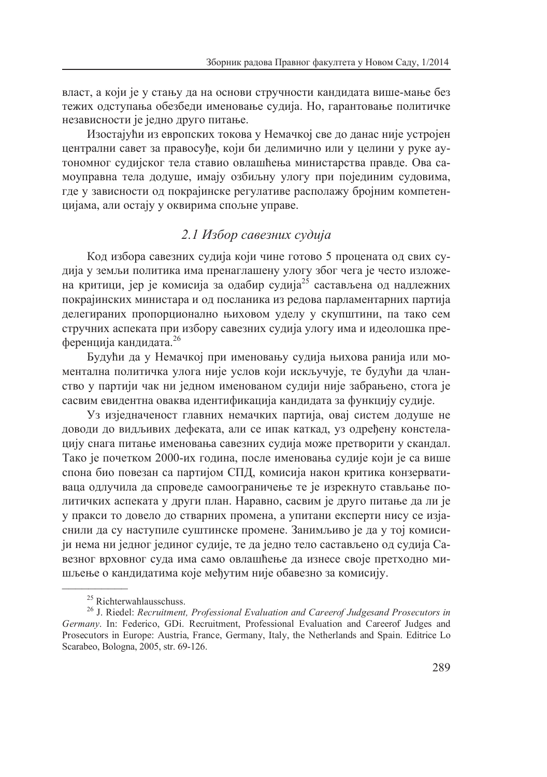власт, а који је у стању да на основи стручности кандидата више-мање без тежих одступања обезбеди именовање судија. Но, гарантовање политичке независности је једно друго питање.

Изостајући из европских токова у Немачкој све до данас није устројен централни савет за правосуђе, који би делимично или у целини у руке аутономног судијског тела ставио овлашћења министарства правде. Ова самоуправна тела додуше, имају озбиљну улогу при појединим судовима, где у зависности од покрајинске регулативе располажу бројним компетенцијама, али остају у оквирима спољне управе.

### 2.1 Избор савезних судија

Код избора савезних судија који чине готово 5 процената од свих судија у земљи политика има пренаглашену улогу због чега је често изложена критици, јер је комисија за одабир судија<sup>25</sup> састављена од надлежних покрајинских министара и од посланика из редова парламентарних партија делегираних пропорционално њиховом уделу у скупштини, па тако сем стручних аспеката при избору савезних судија улогу има и идеолошка преференција кандидата.<sup>26</sup>

Будући да у Немачкој при именовању судија њихова ранија или моментална политичка улога није услов који искључује, те будући да чланство у партији чак ни једном именованом судији није забрањено, стога је сасвим евидентна оваква идентификација кандидата за функцију судије.

Уз изједначеност главних немачких партија, овај систем додуше не доводи до видљивих дефеката, али се ипак каткад, уз одређену констелацију снага питање именовања савезних судија може претворити у скандал. Тако је почетком 2000-их година, после именовања судије који је са више спона био повезан са партијом СПД, комисија након критика конзервативаца одлучила да спроведе самоограничење те је изрекнуто стављање политичких аспеката у други план. Наравно, сасвим је друго питање да ли је у пракси то довело до стварних промена, а упитани експерти нису се изјаснили да су наступиле суштинске промене. Занимљиво је да у тој комисији нема ни једног јединог судије, те да једно тело састављено од судија Савезног врховног суда има само овлашћење да изнесе своје претходно мишљење о кандидатима које међутим није обавезно за комисију.

<sup>&</sup>lt;sup>25</sup> Richterwahlausschuss.

<sup>26</sup> J. Riedel: *Recruitment, Professional Evaluation and Careerof Judgesand Prosecutors in Germany*. In: Federico, GDi. Recruitment, Professional Evaluation and Careerof Judges and Prosecutors in Europe: Austria, France, Germany, Italy, the Netherlands and Spain. Editrice Lo Scarabeo, Bologna, 2005, str. 69-126.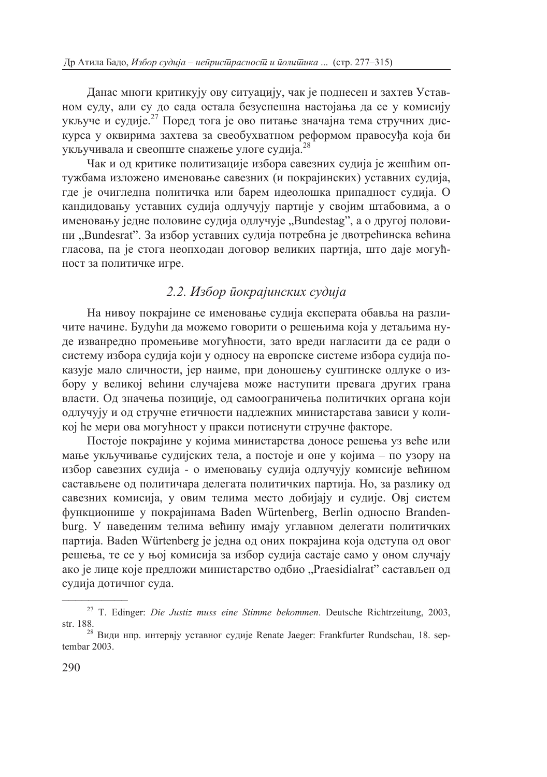Данас многи критикују ову ситуацију, чак је поднесен и захтев Уставном суду, али су до сада остала безуспешна настојања да се у комисију укључе и судије.<sup>27</sup> Поред тога је ово питање значајна тема стручних дискурса у оквирима захтева за свеобухватном реформом правосуђа која би укључивала и свеопште снажење улоге судија. $^{28}$ 

Чак и од критике политизације избора савезних судија је жешћим оптужбама изложено именовање савезних (и покрајинских) уставних судија, где је очигледна политичка или барем идеолошка припадност судија. О кандидовању уставних судија одлучују партије у својим штабовима, а о именовању једне половине судија одлучује "Bundestag", а о другој половини "Bundesrat". За избор уставних судија потребна је двотрећинска већина гласова, па је стога неопходан договор великих партија, што даје могућност за политичке игре.

### 2.2. Избор йокраіинских судиіа

На нивоу покрајине се именовање судија експерата обавља на различите начине. Будући да можемо говорити о решењима која у детаљима нуде изванредно промењиве могућности, зато вреди нагласити да се ради о систему избора судија који у односу на европске системе избора судија показује мало сличности, јер наиме, при доношењу суштинске одлуке о избору у великој већини случајева може наступити превага других грана власти. Од значења позиције, од самоограничења политичких органа који одлучују и од стручне етичности надлежних министарстава зависи у коликој ће мери ова могућност у пракси потиснути стручне факторе.

Постоје покрајине у којима министарства доносе решења уз веће или мање укључивање судијских тела, а постоје и оне у којима – по узору на избор савезних судија - о именовању судија одлучују комисије већином састављене од политичара делегата политичких партија. Но, за разлику од савезних комисија, у овим телима место добијају и судије. Овј систем функционише у покрајинама Baden Würtenberg, Berlin односно Brandenburg. У наведеним телима већину имају углавном делегати политичких партија. Baden Würtenberg је једна од оних покрајина која одступа од овог решења, те се у њој комисија за избор судија састаје само у оном случају ако је лице које предложи министарство одбио "Praesidialrat" састављен од судија дотичног суда.

<sup>27</sup> T. Edinger: *Die Justiz muss eine Stimme bekommen*. Deutsche Richtrzeitung, 2003, str. 188.

<sup>&</sup>lt;sup>28</sup> Види нпр. интервју уставног судије Renate Jaeger: Frankfurter Rundschau, 18. septembar 2003.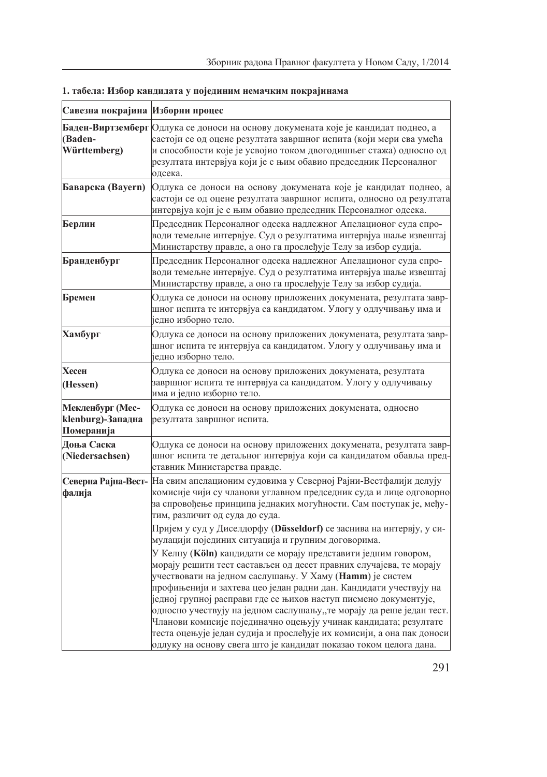| Савезна покрајина Изборни процес                    |                                                                                                                                                                                                                                                                                                                                                                                                                                                                                                                                                                                                                                                                                                                                                                                                                                                                                                                                                                                                                             |  |  |  |
|-----------------------------------------------------|-----------------------------------------------------------------------------------------------------------------------------------------------------------------------------------------------------------------------------------------------------------------------------------------------------------------------------------------------------------------------------------------------------------------------------------------------------------------------------------------------------------------------------------------------------------------------------------------------------------------------------------------------------------------------------------------------------------------------------------------------------------------------------------------------------------------------------------------------------------------------------------------------------------------------------------------------------------------------------------------------------------------------------|--|--|--|
| (Baden-<br>Württemberg)                             | Баден-Виртземберг Одлука се доноси на основу докумената које је кандидат поднео, а<br>састоји се од оцене резултата завршног испита (који мери сва умећа<br>и способности које је усвојио током двогодишњег стажа) односно од<br>резултата интервјуа који је с њим обавио председник Персоналног<br>одсека.                                                                                                                                                                                                                                                                                                                                                                                                                                                                                                                                                                                                                                                                                                                 |  |  |  |
| Баварска (Bayern)                                   | Одлука се доноси на основу докумената које је кандидат поднео, а<br>састоји се од оцене резултата завршног испита, односно од резултата<br>интервјуа који је с њим обавио председник Персоналног одсека.                                                                                                                                                                                                                                                                                                                                                                                                                                                                                                                                                                                                                                                                                                                                                                                                                    |  |  |  |
| Берлин                                              | Председник Персоналног одсека надлежног Апелационог суда спро-<br>води темељне интервјуе. Суд о резултатима интервјуа шаље извештај<br>Министарству правде, а оно га прослеђује Телу за избор судија.                                                                                                                                                                                                                                                                                                                                                                                                                                                                                                                                                                                                                                                                                                                                                                                                                       |  |  |  |
| Бранденбург                                         | Председник Персоналног одсека надлежног Апелационог суда спро-<br>води темељне интервјуе. Суд о резултатима интервјуа шаље извештај<br>Министарству правде, а оно га прослеђује Телу за избор судија.                                                                                                                                                                                                                                                                                                                                                                                                                                                                                                                                                                                                                                                                                                                                                                                                                       |  |  |  |
| Бремен                                              | Одлука се доноси на основу приложених докумената, резултата завр-<br>шног испита те интервјуа са кандидатом. Улогу у одлучивању има и<br>једно изборно тело.                                                                                                                                                                                                                                                                                                                                                                                                                                                                                                                                                                                                                                                                                                                                                                                                                                                                |  |  |  |
| Хамбург                                             | Одлука се доноси на основу приложених докумената, резултата завр-<br>шног испита те интервјуа са кандидатом. Улогу у одлучивању има и<br>једно изборно тело.                                                                                                                                                                                                                                                                                                                                                                                                                                                                                                                                                                                                                                                                                                                                                                                                                                                                |  |  |  |
| Хесен<br>(Hessen)                                   | Одлука се доноси на основу приложених докумената, резултата<br>завршног испита те интервјуа са кандидатом. Улогу у одлучивању<br>има и једно изборно тело.                                                                                                                                                                                                                                                                                                                                                                                                                                                                                                                                                                                                                                                                                                                                                                                                                                                                  |  |  |  |
| Мекленбург (Мес-<br>klenburg)-Западна<br>Померанија | Одлука се доноси на основу приложених докумената, односно<br>резултата завршног испита.                                                                                                                                                                                                                                                                                                                                                                                                                                                                                                                                                                                                                                                                                                                                                                                                                                                                                                                                     |  |  |  |
| Доња Саска<br>(Niedersachsen)                       | Одлука се доноси на основу приложених докумената, резултата завр-<br>шног испита те детаљног интервјуа који са кандидатом обавља пред-<br>ставник Министарства правде.                                                                                                                                                                                                                                                                                                                                                                                                                                                                                                                                                                                                                                                                                                                                                                                                                                                      |  |  |  |
| Северна Рајна-Вест-<br>фалија                       | На свим апелационим судовима у Северној Рајни-Вестфалији делују<br>комисије чији су чланови углавном председник суда и лице одговорно<br>за спровођење принципа једнаких могућности. Сам поступак је, међу-<br>тим, различит од суда до суда.<br>Пријем у суд у Диселдорфу (Düsseldorf) се заснива на интервју, у си-<br>мулацији појединих ситуација и групним договорима.<br>У Келну (Köln) кандидати се морају представити једним говором,<br>морају решити тест састављен од десет правних случајева, те морају<br>учествовати на једном саслушању. У Хаму ( <b>Hamm</b> ) је систем<br>профињенији и захтева цео један радни дан. Кандидати учествују на<br>једној групној расправи где се њихов наступ писмено документује,<br>односно учествују на једном саслушању, те морају да реше један тест.<br>Чланови комисије појединачно оцењују учинак кандидата; резултате<br>теста оцењује један судија и прослеђује их комисији, а она пак доноси<br>одлуку на основу свега што је кандидат показао током целога дана. |  |  |  |

## 1. табела: Избор кандидата у појединим немачким покрајинама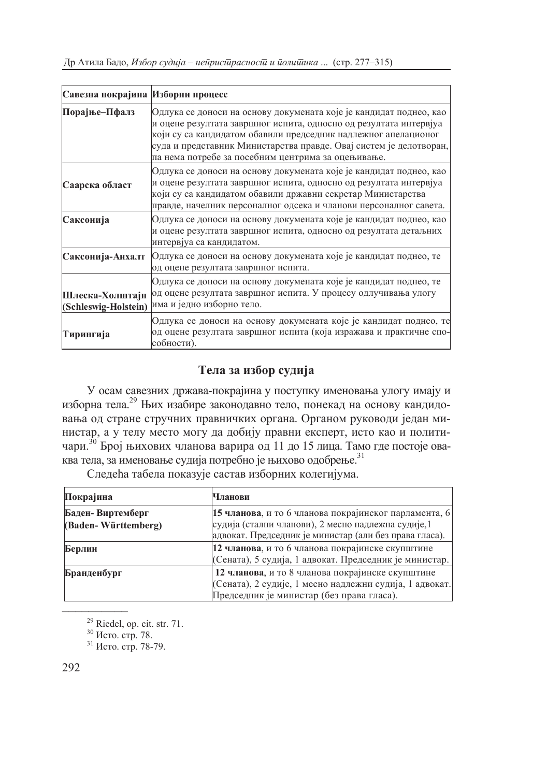| Савезна покрајина Изборни процесс       |                                                                                                                                                                                                                                                                                                                                       |  |  |
|-----------------------------------------|---------------------------------------------------------------------------------------------------------------------------------------------------------------------------------------------------------------------------------------------------------------------------------------------------------------------------------------|--|--|
| Порајње–Пфалз                           | Одлука се доноси на основу докумената које је кандидат поднео, као<br>и оцене резултата завршног испита, односно од резултата интервјуа<br>који су са кандидатом обавили председник надлежног апелационог<br>суда и представник Министарства правде. Овај систем је делотворан,<br>па нема потребе за посебним центрима за оцењивање. |  |  |
| Саарска област                          | Одлука се доноси на основу докумената које је кандидат поднео, као<br>и оцене резултата завршног испита, односно од резултата интервјуа<br>који су са кандидатом обавили државни секретар Министарства<br>правде, начелник персоналног одсека и чланови персоналног савета.                                                           |  |  |
| Саксонија                               | Одлука се доноси на основу докумената које је кандидат поднео, као<br>и оцене резултата завршног испита, односно од резултата детаљних<br>интервјуа са кандидатом.                                                                                                                                                                    |  |  |
| Саксонија-Анхалт                        | Одлука се доноси на основу докумената које је кандидат поднео, те<br>од оцене резултата завршног испита.                                                                                                                                                                                                                              |  |  |
| Шлеска-Холштајн<br>(Schleswig-Holstein) | Одлука се доноси на основу докумената које је кандидат поднео, те<br>од оцене резултата завршног испита. У процесу одлучивања улогу<br>има и једно изборно тело.                                                                                                                                                                      |  |  |
| Тирингија                               | Одлука се доноси на основу докумената које је кандидат поднео, те<br>од оцене резултата завршног испита (која изражава и практичне спо-<br>собности).                                                                                                                                                                                 |  |  |

# Тела за избор судија

У осам савезних држава-покрајина у поступку именовања улогу имају и изборна тела.<sup>29</sup> Њих изабире законодавно тело, понекад на основу кандидовања од стране стручних правничких органа. Органом руководи један министар, а у телу место могу да добију правни експерт, исто као и политичари.<sup>30</sup> Број њихових чланова варира од 11 до 15 лица. Тамо где постоје оваква тела, за именовање судија потребно је њихово одобрење.<sup>31</sup>

Следећа табела показује састав изборних колегијума.

| Покрајина                               | Чланови                                                                                                                                                                |
|-----------------------------------------|------------------------------------------------------------------------------------------------------------------------------------------------------------------------|
| Баден-Виртемберг<br>(Baden-Württemberg) | 15 чланова, и то 6 чланова покрајинског парламента, 6<br>судија (стални чланови), 2 месно надлежна судије, 1<br>адвокат. Председник је министар (али без права гласа). |
| Берлин                                  | 12 чланова, и то 6 чланова покрајинске скупштине<br>(Сената), 5 судија, 1 адвокат. Председник је министар.                                                             |
| Бранденбург                             | 12 чланова, и то 8 чланова покрајинске скупштине<br>(Сената), 2 судије, 1 месно надлежни судија, 1 адвокат.<br>Председник је министар (без права гласа).               |

<sup>––––––––––</sup>   $29$  Riedel, op. cit. str. 71.

 $30$  *H*cto. crp. 78.

 $31$  *H*cro. crp. 78-79.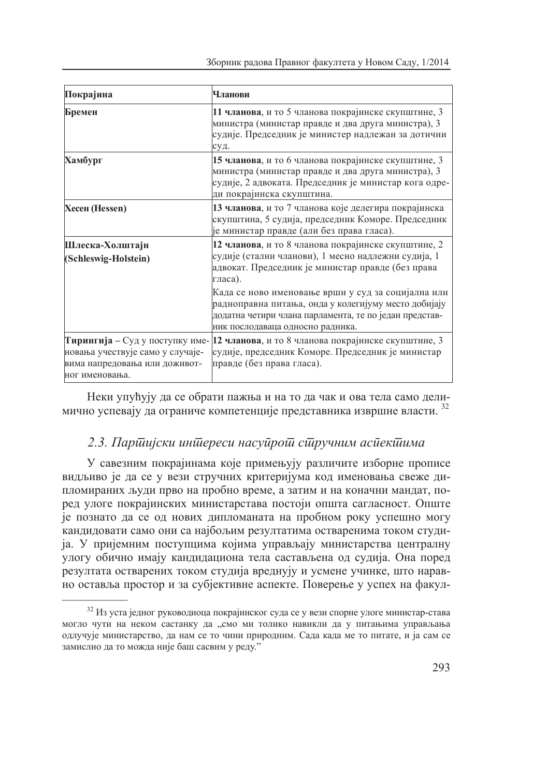| Покрајина                                                                                                                     | Чланови                                                                                                                                                                                                                                                                                                                                                                                |  |  |
|-------------------------------------------------------------------------------------------------------------------------------|----------------------------------------------------------------------------------------------------------------------------------------------------------------------------------------------------------------------------------------------------------------------------------------------------------------------------------------------------------------------------------------|--|--|
| Бремен                                                                                                                        | 11 чланова, и то 5 чланова покрајинске скупштине, 3<br>министра (министар правде и два друга министра), 3<br>судије. Председник је министер надлежан за дотични<br>суд.                                                                                                                                                                                                                |  |  |
| Хамбург                                                                                                                       | 15 чланова, и то 6 чланова покрајинске скупштине, 3<br>министра (министар правде и два друга министра), 3<br>судије, 2 адвоката. Председник је министар кога одре-<br>ди покрајинска скупштина.                                                                                                                                                                                        |  |  |
| Xесен (Hessen)                                                                                                                | 13 чланова, и то 7 чланова које делегира покрајинска<br>скупштина, 5 судија, председник Коморе. Председник<br>је министар правде (али без права гласа).                                                                                                                                                                                                                                |  |  |
| Шлеска-Холштајн<br>(Schleswig-Holstein)                                                                                       | 12 чланова, и то 8 чланова покрајинске скупштине, 2<br>судије (стални чланови), 1 месно надлежни судија, 1<br>адвокат. Председник је министар правде (без права<br>гласа).<br>Када се ново именовање врши у суд за социјална или<br>радноправна питања, онда у колегијуму место добијају<br>додатна четири члана парламента, те по један представ-<br>ник послодаваца односно радника. |  |  |
| <b>Гирингија</b> - Суд у поступку име-<br>новања учествује само у случаје-<br>вима напредовања или доживот-<br>ног именовања. | 12 чланова, и то 8 чланова покрајинске скупштине, 3<br>судије, председник Коморе. Председник је министар<br>правде (без права гласа).                                                                                                                                                                                                                                                  |  |  |

Неки упућују да се обрати пажња и на то да чак и ова тела само делимично успевају да ограниче компетенције представника извршне власти. <sup>32</sup>

# $2.3$ . Паршијски иншереси насуйрош сшручним асйекшима

У савезним покрајинама које примењују различите изборне прописе видљиво је да се у вези стручних критеријума код именовања свеже дипломираних људи прво на пробно време, а затим и на коначни мандат, поред улоге покрајинских министарстава постоји општа сагласност. Опште је познато да се од нових дипломаната на пробном року успешно могу кандидовати само они са најбољим резултатима остваренима током студија. У пријемним поступцима којима управљају министарства централну улогу обично имају кандидациона тела састављена од судија. Она поред резултата остварених током студија вреднују и усмене учинке, што наравно оставља простор и за субјективне аспекте. Поверење у успех на факул-

 $32$  Из уста једног руководиоца покрајинског суда се у вези спорне улоге министар-става могло чути на неком састанку да "смо ми толико навикли да у питањима управљања одлучује министарство, да нам се то чини природним. Сада када ме то питате, и ја сам се замислио да то можда није баш сасвим у реду."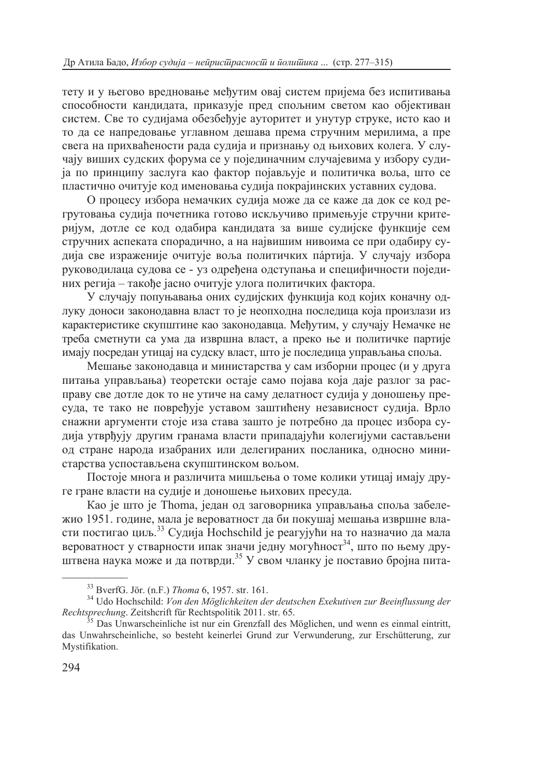тету и у његово вредновање међутим овај систем пријема без испитивања способности кандидата, приказује пред спољним светом као објективан систем. Све то судијама обезбеђује ауторитет и унутур струке, исто као и то да се напредовање углавном дешава према стручним мерилима, а пре свега на прихваћености рада судија и признању од њихових колега. У случају виших судских форума се у појединачним случајевима у избору судиа по принципу заслуга као фактор појављује и политичка воља, што се пластично очитује код именовања судија покрајинских уставних судова.

О процесу избора немачких судија може да се каже да док се код регрутовања судија почетника готово искључиво примењује стручни критеријум, дотле се код одабира кандидата за више судијске функције сем стручних аспеката спорадично, а на највишим нивоима се при одабиру судија све израженије очитује воља политичких партија. У случају избора руководилаца судова се - уз одређена одступања и специфичности појединих регија – такође јасно очитује улога политичких фактора.

У случају попуњавања оних судијских функција код којих коначну одлуку доноси законодавна власт то је неопходна последица која произлази из карактеристике скупштине као законодавца. Међутим, у случају Немачке не треба сметнути са ума да извршна власт, а преко ње и политичке партије имају посредан утицај на судску власт, што је последица управљања споља.

Мешање законодавца и министарства у сам изборни процес (и у друга питања управљања) теоретски остаје само појава која даје разлог за расправу све дотле док то не утиче на саму делатност судија у доношењу пресуда, те тако не поврећује уставом заштићену независност судија. Врло снажни аргументи стоје иза става зашто је потребно да процес избора судија утврђују другим гранама власти припадајући колегијуми састављени од стране народа изабраних или делегираних посланика, односно министарства успостављена скупштинском вољом.

Постоје многа и различита мишљења о томе колики утицај имају друге гране власти на судије и доношење њихових пресуда.

Као је што је Thoma, један од заговорника управљања споља забележио 1951. године, мала је вероватност да би покушај мешања извршне власти постигао циљ.<sup>33</sup> Судија Hochschild је реагујући на то назначио да мала вероватност у стварности ипак значи једну могућност<sup>34</sup>, што по њему друштвена наука може и да потврди.<sup>35</sup> У свом чланку је поставио бројна пита-

<sup>33</sup> BverfG. Jör. (n.F.) *Thoma* 6, 1957. str. 161.

<sup>34</sup> Udo Hochschild: *Von den Möglichkeiten der deutschen Exekutiven zur Beeinflussung der Rechtsprechung*. Zeitshcrift für Rechtspolitik 2011. str. 65.

<sup>35</sup> Das Unwarscheinliche ist nur ein Grenzfall des Möglichen, und wenn es einmal eintritt, das Unwahrscheinliche, so besteht keinerlei Grund zur Verwunderung, zur Erschütterung, zur Mystifikation.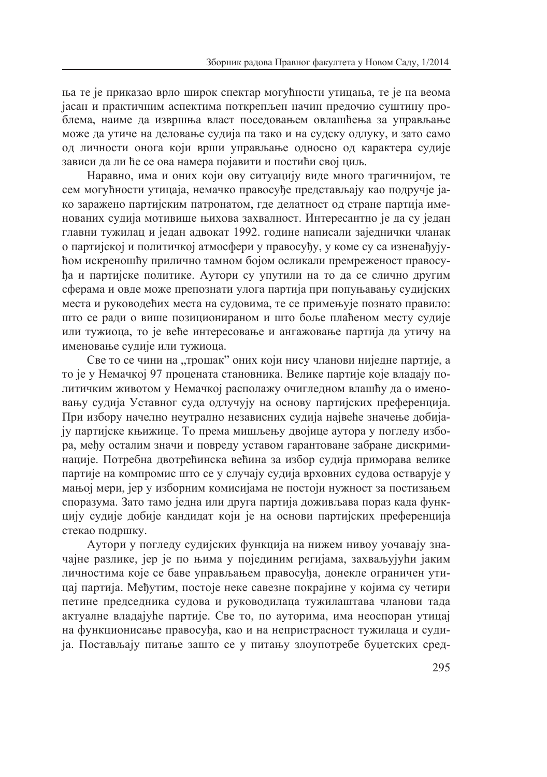ња те је приказао врло широк спектар могућности утицања, те је на веома асан и практичним аспектима поткрепљен начин предочио суштину проблема, наиме да извршња власт поседовањем овлашћења за управљање може да утиче на деловање судија па тако и на судску одлуку, и зато само од личности онога који врши управљање односно од карактера судије зависи да ли ће се ова намера појавити и постићи свој циљ.

Наравно, има и оних који ову ситуацију виде много трагичнијом, те сем могућности утицаја, немачко правосуђе представљају као подручје јако заражено партијским патронатом, где делатност од стране партија именованих судија мотивише њихова захвалност. Интересантно је да су један главни тужилац и један адвокат 1992. године написали заједнички чланак о партијској и политичкој атмосфери у правосуђу, у коме су са изненађујућом искреношћу прилично тамном бојом осликали премреженост правосуђа и партијске политике. Аутори су упутили на то да се слично другим сферама и овде може препознати улога партија при попуњавању судијских места и руководећих места на судовима, те се примењује познато правило: што се ради о више позиционираном и што боље плаћеном месту судије или тужиона, то је веће интересовање и ангажовање партија да утичу на именовање судије или тужиоца.

Све то се чини на "трошак" оних који нису чланови ниједне партије, а то је у Немачкој 97 процената становника. Велике партије које владају политичким животом у Немачкој располажу очигледном влашћу да о именовању судија Уставног суда одлучују на основу партијских преференција. При избору начелно неутрално независних судија највеће значење добијају партијске књижице. То према мишљењу двојице аутора у погледу избора, међу осталим значи и повреду уставом гарантоване забране дискриминације. Потребна двотрећинска већина за избор судија приморава велике партије на компромис што се у случају судија врховних судова остварује у мањој мери, јер у изборним комисијама не постоји нужност за постизањем споразума. Зато тамо једна или друга партија доживљава пораз када функцију судије добије кандидат који је на основи партијских преференција стекао подршку.

Аутори у погледу судијских функција на нижем нивоу уочавају значајне разлике, јер је по њима у појединим регијама, захваљујући јаким личностима које се баве управљањем правосуђа, донекле ограничен утицај партија. Међутим, постоје неке савезне покрајине у којима су четири петине председника судова и руководилаца тужилаштава чланови тада актуалне владајуће партије. Све то, по ауторима, има неоспоран утицај на функционисање правосуђа, као и на непристрасност тужилаца и судиа Постављају питање зашто се у питању злоупотребе буџетских сред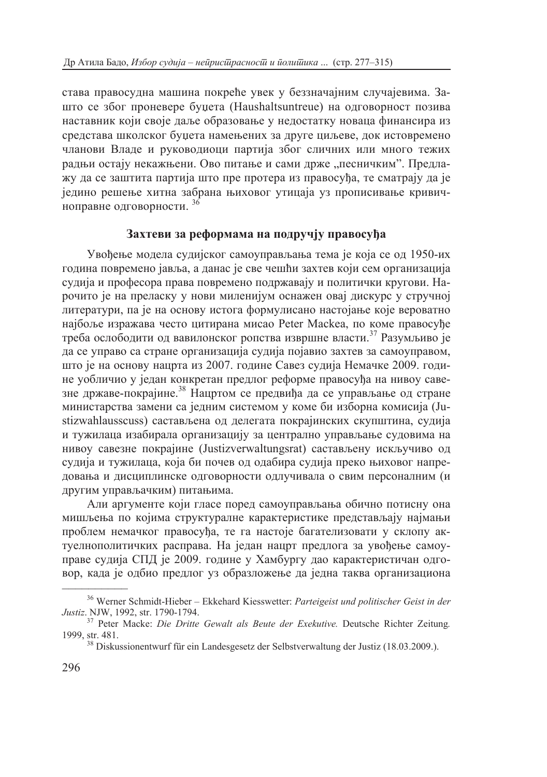става правосудна машина покреће увек у беззначајним случајевима. Зашто се због проневере буџета (Haushaltsuntreue) на одговорност позива наставник који своје даље образовање у недостатку новаца финансира из средстава школског буџета намењених за друге циљеве, док истовремено чланови Владе и руководиоци партија због сличних или много тежих радњи остају некажњени. Ово питање и сами држе "песничким". Предлажу да се заштита партија што пре протера из правосуђа, те сматрају да је іедино решење хитна забрана њиховог утицаја уз прописивање кривичноправне одговорности. <sup>36</sup>

#### Захтеви за реформама на подручју правосуђа

Увођење модела судијског самоуправљања тема је која се од 1950-их година повремено јавља, а данас је све чешћи захтев који сем организација судија и професора права повремено подржавају и политички кругови. Нарочито је на преласку у нови миленијум оснажен овај дискурс у стручној литератури, па је на основу истога формулисано настојање које вероватно најбоље изражава често цитирана мисао Peter Mackea, по коме правосуђе треба ослободити од вавилонског ропства извршне власти.<sup>37</sup> Разумљиво је да се управо са стране организација судија појавио захтев за самоуправом, што је на основу нацрта из 2007. године Савез судија Немачке 2009. године уобличио у један конкретан предлог реформе правосуђа на нивоу савезне државе-покрајине.<sup>38</sup> Нацртом се предвиђа да се управљање од стране министарства замени са једним системом у коме би изборна комисија (Justizwahlausscuss) састављена од делегата покрајинских скупштина, судија и тужилаца изабирала организацију за централно управљање судовима на нивоу савезне покрајине (Justizverwaltungsrat) састављену искључиво од судија и тужилаца, која би почев од одабира судија преко њиховог напредовања и дисциплинске одговорности одлучивала о свим персоналним (и другим управљачким) питањима.

Али аргументе који гласе поред самоуправљања обично потисну она мишљења по којима структуралне карактеристике представљају најмањи проблем немачког правосуђа, те га настоје багателизовати у склопу актуелнополитичких расправа. На један нацрт предлога за увођење самоуправе судија СПД је 2009. године у Хамбургу дао карактеристичан одговор, када је одбио предлог уз образложење да једна таква организациона

<sup>36</sup> Werner Schmidt-Hieber – Ekkehard Kiesswetter: *Parteigeist und politischer Geist in der Justiz*. NJW, 1992, str. 1790-1794.

<sup>37</sup> Peter Macke: *Die Dritte Gewalt als Beute der Exekutive.* Deutsche Richter Zeitung*.* 1999, str. 481.

<sup>&</sup>lt;sup>38</sup> Diskussionentwurf für ein Landesgesetz der Selbstverwaltung der Justiz (18.03.2009.).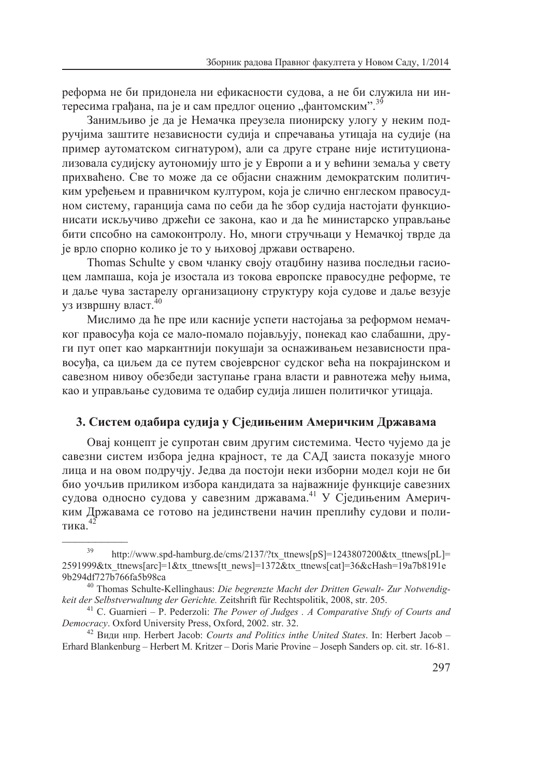реформа не би придонела ни ефикасности судова, а не би служила ни интересима грађана, па је и сам предлог оценио "фантомским".<sup>39</sup>

Занимљиво је да је Немачка преузела пионирску улогу у неким подручјима заштите независности судија и спречавања утицаја на судије (на пример аутоматском сигнатуром), али са друге стране није иституционализовала судијску аутономију што је у Европи а и у већини земаља у свету прихваћено. Све то може да се објасни снажним демократским политичким уређењем и правничком културом, која је слично енглеском правосудном систему, гаранција сама по себи да ће збор судија настојати функционисати искључиво држећи се закона, као и да ће министарско управљање бити спсобно на самоконтролу. Но, многи стручњаци у Немачкој тврде да је врло спорно колико је то у њиховој држави остварено.

Thomas Schulte у свом чланку своју отаџбину назива последњи гасиоцем лампаша, која је изостала из токова европске правосудне реформе, те и даље чува застарелу организациону структуру која судове и даље везује уз извршну власт.<sup>40</sup>

Мислимо да ће пре или касније успети настојања за реформом немачког правосуђа која се мало-помало појављују, понекад као слабашни, други пут опет као маркантнији покушаји за оснаживањем независности правосуђа, са циљем да се путем својеврсног судског већа на покрајинском и савезном нивоу обезбеди заступање грана власти и равнотежа међу њима, као и управљање судовима те одабир судија лишен политичког утицаја.

#### 3. Систем одабира судија у Сједињеним Америчким Државама

Овај концепт је супротан свим другим системима. Често чујемо да је савезни систем избора једна крајност, те да САД заиста показује много лица и на овом подручју. Једва да постоји неки изборни модел који не би био уочљив приликом избора кандидата за најважније функције савезних судова односно судова у савезним државама.<sup>41</sup> У Сједињеним Америчким Државама се готово на јединствени начин преплићу судови и политика.<sup>42</sup>

<sup>&</sup>lt;sup>39</sup> http://www.spd-hamburg.de/cms/2137/?tx\_ttnews[pS]=1243807200&tx\_ttnews[pL]= 2591999&tx\_ttnews[arc]=1&tx\_ttnews[tt\_news]=1372&tx\_ttnews[cat]=36&cHash=19a7b8191e 9b294df727b766fa5b98ca

<sup>40</sup> Thomas Schulte-Kellinghaus: *Die begrenzte Macht der Dritten Gewalt- Zur Notwendigkeit der Selbstverwaltung der Gerichte.* Zeitshrift für Rechtspolitik, 2008, str. 205.

<sup>41</sup> C. Guarnieri – P. Pederzoli: *The Power of Judges . A Comparative Stufy of Courts and Democracy*. Oxford University Press, Oxford, 2002. str. 32.

<sup>&</sup>lt;sup>42</sup> Види нпр. Herbert Jacob: *Courts and Politics inthe United States*. In: Herbert Jacob – Erhard Blankenburg – Herbert M. Kritzer – Doris Marie Provine – Joseph Sanders op. cit. str. 16-81.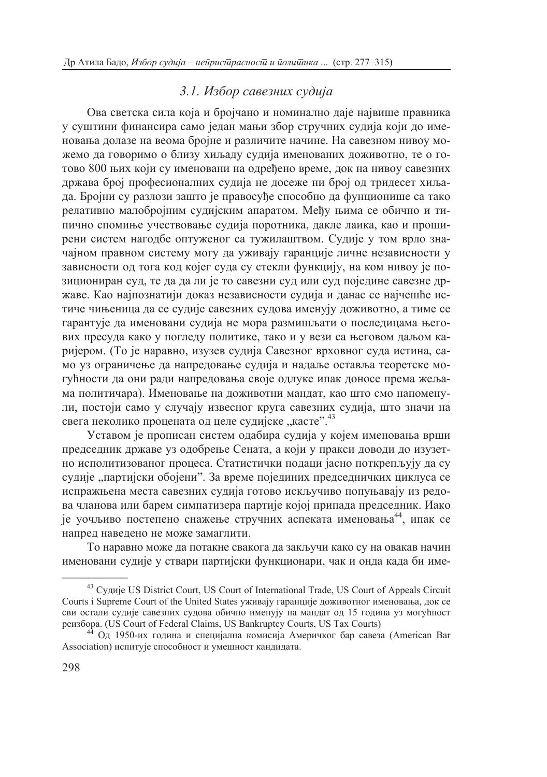### 3.1. *Избор савезних судија*

Ова светска сила која и бројчано и номинално даје највише правника у суштини финансира само један мањи збор стручних судија који до именовања долазе на веома бројне и различите начине. На савезном нивоу можемо да говоримо о близу хиљаду судија именованих доживотно, те о готово 800 њих који су именовани на одређено време, док на нивоу савезних држава број професионалних судија не досеже ни број од тридесет хиљада. Бројни су разлози зашто је правосуће способно да фунционише са тако релативно малобројним судијским апаратом. Међу њима се обично и типично спомиње учествовање судија поротника, дакле лаика, као и проширени систем нагодбе оптуженог са тужилаштвом. Судије у том врло значајном правном систему могу да уживају гаранције личне независности у зависности од тога код којег суда су стекли функцију, на ком нивоу је позициониран суд, те да да ли је то савезни суд или суд поједине савезне државе. Као најпознатији доказ независности судија и данас се најчешће истиче чињеница да се судије савезних судова именују доживотно, а тиме се гарантује да именовани судија не мора размишљати о последицама његових пресуда како у погледу политике, тако и у вези са његовом даљом каријером. (То је наравно, изузев судија Савезног врховног суда истина, само уз ограничење да напредовање судија и надаље оставља теоретске могућности да они ради напредовања своје одлуке ипак доносе према жељама политичара). Именовање на доживотни мандат, као што смо напоменули, постоји само у случају извесног круга савезних судија, што значи на свега неколико процената од целе судијске "касте".<sup>43</sup>

Уставом је прописан систем одабира судија у којем именовања врши председник државе уз одобрење Сената, а који у пракси доводи до изузетно исполитизованог процеса. Статистички подаци јасно поткрепљују да су судије "партијски обојени". За време појединих председничких циклуса се испражњена места савезних судија готово искључиво попуњавају из редова чланова или барем симпатизера партије којој припада председник. Иако је уочљиво постепено снажење стручних аспеката именовања<sup>44</sup>, ипак се напред наведено не може замаглити.

То наравно може да потакне свакога да закључи како су на овакав начин именовани судије у ствари партијски функционари, чак и онда када би име-

<sup>&</sup>lt;sup>43</sup> Судије US District Court, US Court of International Trade, US Court of Appeals Circuit Courts i Supreme Court of the United States уживају гаранције доживотног именовања, док се сви остали судије савезних судова обично именују на мандат од 15 година уз могућност реизбора. (US Court of Federal Claims, US Bankruptcy Courts, US Tax Courts)

Од 1950-их година и специјална комисија Америчког бар савеза (American Bar Association) испитује способност и умешност кандидата.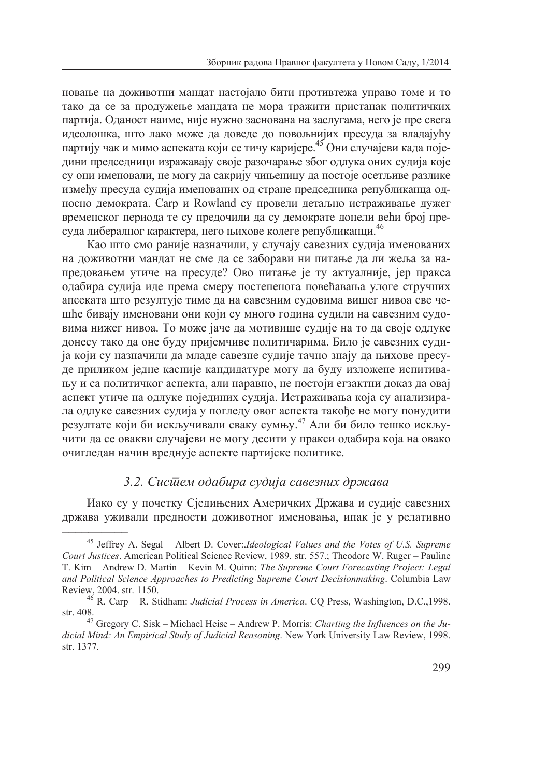новање на доживотни мандат настојало бити противтежа управо томе и то тако да се за продужење мандата не мора тражити пристанак политичких партија. Оданост наиме, није нужно заснована на заслугама, него је пре свега идеолошка, што лако може да доведе до повољнијих пресуда за владајућу партију чак и мимо аспеката који се тичу каријере.<sup>45</sup> Они случајеви када поједини председници изражавају своје разочарање због одлука оних судија које су они именовали, не могу да сакрију чињеницу да постоје осетљиве разлике између пресуда судија именованих од стране председника републиканца односно демократа. Carp и Rowland су провели детаљно истраживање дужег временског периода те су предочили да су демократе донели већи број пресуда либералног карактера, него њихове колеге републиканци.<sup>46</sup>

Као што смо раније назначили, у случају савезних судија именованих на ложивотни манлат не сме ла се заборави ни питање ла ли жеља за напредовањем утиче на пресуде? Ово питање је ту актуалније, јер пракса одабира судија иде према смеру постепенога повећавања улоге стручних апсеката што резултује тиме да на савезним судовима вишег нивоа све чешће бивају именовани они који су много година судили на савезним судовима нижег нивоа. То може јаче да мотивише судије на то да своје одлуке донесу тако да оне буду пријемчиве политичарима. Било је савезних судиа који су назначили да младе савезне судије тачно знају да њихове пресуде приликом једне касније кандидатуре могу да буду изложене испитивању и са политичког аспекта, али наравно, не постоји егзактни доказ да овај аспект утиче на одлуке појединих судија. Истраживања која су анализирала одлуке савезних судија у погледу овог аспекта такође не могу понудити резултате који би искључивали сваку сумњу.<sup>47</sup> Али би било тешко искључити да се овакви случајеви не могу десити у пракси одабира која на овако очигледан начин вреднује аспекте партијске политике.

#### 3.2. Сисшем одабира судија савезних држава

Иако су у почетку Сједињених Америчких Држава и судије савезних држава уживали предности доживотног именовања, ипак је у релативно

<sup>45</sup> Jeffrey A. Segal – Albert D. Cover:.*Ideological Values and the Votes of U.S. Supreme Court Justices*. American Political Science Review, 1989. str. 557.; Theodore W. Ruger – Pauline T. Kim – Andrew D. Martin – Kevin M. Quinn: *The Supreme Court Forecasting Project: Legal and Political Science Approaches to Predicting Supreme Court Decisionmaking*. Columbia Law Review, 2004. str. 1150.

<sup>46</sup> R. Carp – R. Stidham: *Judicial Process in America*. CQ Press, Washington, D.C.,1998. str. 408.

<sup>47</sup> Gregory C. Sisk – Michael Heise – Andrew P. Morris: *Charting the Influences on the Judicial Mind: An Empirical Study of Judicial Reasoning*. New York University Law Review, 1998. str. 1377.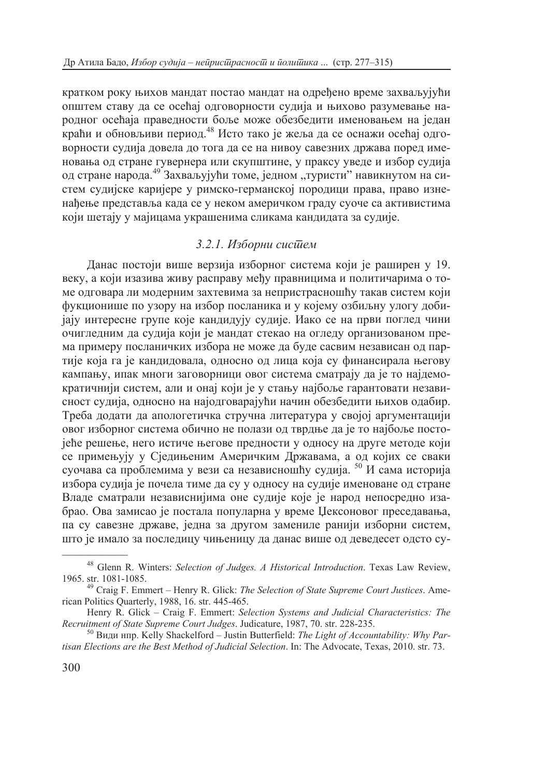кратком року њихов мандат постао мандат на одређено време захваљујући општем ставу да се осећај одговорности судија и њихово разумевање народног осећаја праведности боље може обезбедити именовањем на један краћи и обновљиви период.<sup>48</sup> Исто тако је жеља да се оснажи осећај одговорности судија довела до тога да се на нивоу савезних држава поред именовања од стране гувернера или скупштине, у праксу уведе и избор судија од стране народа.<sup>49</sup> Захваљујући томе, једном "туристи" навикнутом на систем судијске каријере у римско-германској породици права, право изненађење представља када се у неком америчком граду суоче са активистима који шетају у мајицама украшенима сликама кандидата за судије.

#### 3.2.1. *Изборни систем*

Данас постоји више верзија изборног система који је раширен у 19. веку, а који изазива живу расправу међу правницима и политичарима о томе одговара ли модерним захтевима за непристрасношћу такав систем који фукционише по узору на избор посланика и у којему озбиљну улогу добиају интересне групе које кандидују судије. Иако се на први поглед чини очигледним да судија који је мандат стекао на огледу организованом према примеру посланичких избора не може да буде сасвим независан од партије која га је кандидовала, односно од лица која су финансирала његову кампању, ипак многи заговорници овог система сматрају да је то најдемократичнији систем, али и онај који је у стању најбоље гарантовати независност судија, односно на најодговарајући начин обезбедити њихов одабир. Треба додати да апологетичка стручна литература у својој аргументацији овог изборног система обично не полази од тврдње да је то најбоље постојеће решење, него истиче његове предности у односу на друге методе који се примењују у Сједињеним Америчким Државама, а од којих се сваки суочава са проблемима у вези са независношћу судија. <sup>50</sup> И сама историја избора судија је почела тиме да су у односу на судије именоване од стране Владе сматрали независнијима оне судије које је народ непосредно изабрао. Ова замисао је постала популарна у време Џексоновог преседавања, па су савезне државе, једна за другом замениле ранији изборни систем, што је имало за последицу чињеницу да данас више од деведесет одсто су-

<sup>48</sup> Glenn R. Winters: *Selection of Judges. A Historical Introduction*. Texas Law Review, 1965. str. 1081-1085.

<sup>49</sup> Craig F. Emmert – Henry R. Glick: *The Selection of State Supreme Court Justices*. American Politics Quarterly, 1988, 16. str. 445-465.

Henry R. Glick – Craig F. Emmert: *Selection Systems and Judicial Characteristics: The Recruitment of State Supreme Court Judges*. Judicature, 1987, 70. str. 228-235.

<sup>&</sup>lt;sup>50</sup> Βиди нпр. Kelly Shackelford – Justin Butterfield: *The Light of Accountability: Why Partisan Elections are the Best Method of Judicial Selection*. In: The Advocate, Texas, 2010. str. 73.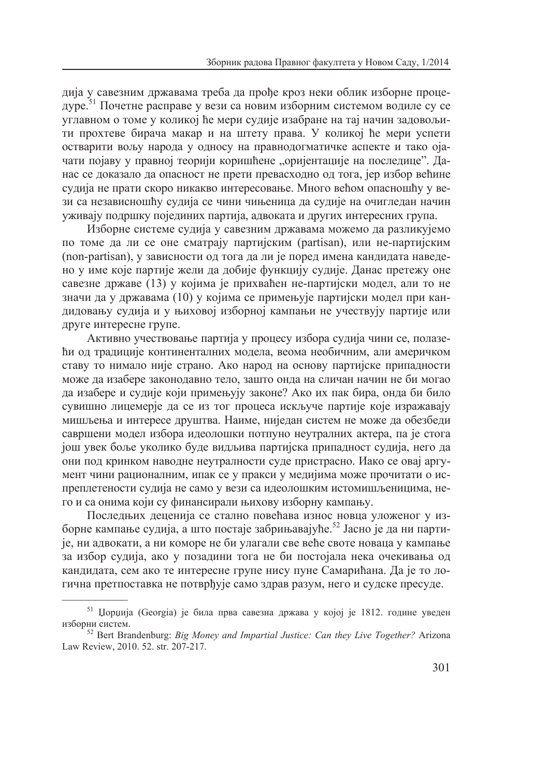дија у савезним државама треба да прође кроз неки облик изборне процедуре.<sup>51</sup> Почетне расправе у вези са новим изборним системом водиле су се углавном о томе у коликој ће мери судије изабране на тај начин задовољити прохтеве бирача макар и на штету права. У коликој ће мери успети остварити вољу народа у односу на правнодогматичке аспекте и тако ојачати појаву у правној теорији коришћене "оријентације на последице". Данас се доказало да опасност не прети превасходно од тога, јер избор већине судија не прати скоро никакво интересовање. Много већом опасношћу у вези са независношћу судија се чини чињеница да судије на очигледан начин уживају подршку појединих партија, адвоката и других интересних група.

Изборне системе судија у савезним државама можемо да разликујемо по томе да ли се оне сматрају партијским (partisan), или не-партијским (non-partisan), у зависности од тога да ли је поред имена кандидата наведено у име које партије жели да добије функцију судије. Данас претежу оне савезне државе (13) у којима је прихваћен не-партијски модел, али то не значи да у државама (10) у којима се примењује партијски модел при кандидовању судија и у њиховој изборној кампањи не учествују партије или друге интересне групе.

Активно учествовање партија у процесу избора судија чини се, полазећи од традиције континенталних модела, веома необичним, али америчком ставу то нимало није страно. Ако народ на основу партијске припадности може да изабере законодавно тело, зашто онда на сличан начин не би могао да изабере и судије који примењују законе? Ако их пак бира, онда би било сувишно лицемерје да се из тог процеса искључе партије које изражавају мишљења и интересе друштва. Наиме, ниједан систем не може да обезбеди савршени модел избора идеолошки потпуно неутралних актера, па је стога још увек боље уколико буде видљива партијска припадност судија, него да они под кринком наводне неутралности суде пристрасно. Иако се овај аргумент чини рационалним, ипак се у пракси у медијима може прочитати о испреплетености судија не само у вези са идеолошким истомишљеницима, него и са онима који су финансирали њихову изборну кампању.

Последњих деценија се стално повећава износ новца уложеног у изборне кампање судија, а што постаје забрињавајуће.<sup>52</sup> Јасно је да ни партије, ни адвокати, а ни коморе не би улагали све веће своте новаца у кампање за избор судија, ако у позадини тога не би постојала нека очекивања од кандидата, сем ако те интересне групе нису пуне Самарићана. Да је то логична претпоставка не потврђује само здрав разум, него и судске пресуде.

<sup>&</sup>lt;sup>51</sup> Џорџија (Georgia) је била прва савезна држава у којој је 1812. године уведен изборни систем.

<sup>52</sup> Bert Brandenburg: *Big Money and Impartial Justice: Can they Live Together?* Arizona Law Review, 2010. 52. str. 207-217.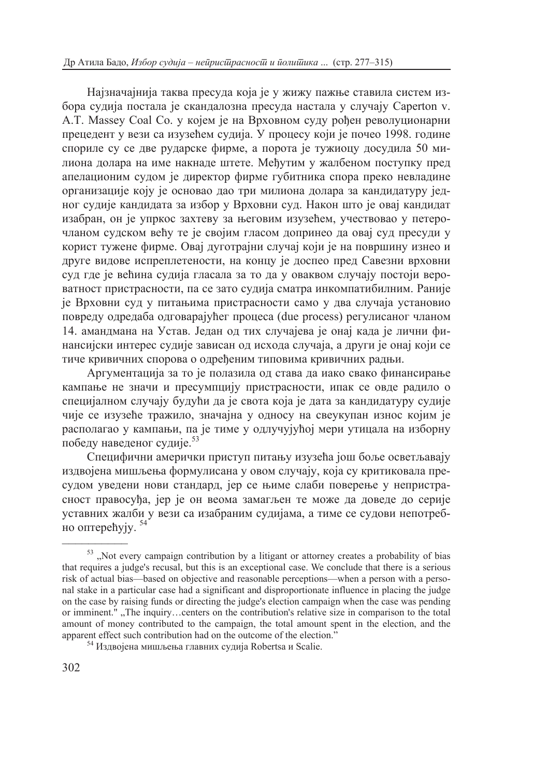Најзначајнија таква пресуда која је у жижу пажње ставила систем избора судија постала је скандалозна пресуда настала у случају Caperton v. A.T. Massey Coal Co. у којем је на Врховном суду рођен револуционарни прецедент у вези са изузећем судија. У процесу који је почео 1998. године спориле су се лве рударске фирме, а порота је тужиону досудила 50 милиона долара на име накнаде штете. Међутим у жалбеном поступку пред апелационим судом је директор фирме губитника спора преко невладине организације коју је основао дао три милиона долара за кандидатуру једног судије кандидата за избор у Врховни суд. Након што је овај кандидат изабран, он је упркос захтеву за његовим изузећем, учествовао у петерочланом судском већу те је својим гласом допринео да овај суд пресуди у корист тужене фирме. Овај дуготрајни случај који је на површину изнео и друге видове испреплетености, на концу је доспео пред Савезни врховни суд где је већина судија гласала за то да у оваквом случају постоји вероватност пристрасности, па се зато судија сматра инкомпатибилним. Раније је Врховни суд у питањима пристрасности само у два случаја установио повреду одредаба одговарајућег процеса (due process) регулисаног чланом 14. амандмана на Устав. Један од тих случајева је онај када је лични финансијски интерес судије зависан од исхода случаја, а други је онај који се тиче кривичних спорова о одређеним типовима кривичних радњи.

Аргументација за то је полазила од става да иако свако финансирање кампање не значи и пресумпцију пристрасности, ипак се овде радило о специјалном случају будући да је свота која је дата за кандидатуру судије чије се изузеће тражило, значајна у односу на свеукупан износ којим је располагао у кампањи, па је тиме у одлучујућој мери утицала на изборну победу наведеног судије.<sup>53</sup>

Специфични амерички приступ питању изузећа још боље осветљавају издвојена мишљења формулисана у овом случају, која су критиковала пресудом уведени нови стандард, јер се њиме слаби поверење у непристрасност правосуђа, јер је он веома замагљен те може да доведе до серије уставних жалби у вези са изабраним судијама, а тиме се судови непотребно оптерећују. <sup>54</sup>

 $53$ , Not every campaign contribution by a litigant or attorney creates a probability of bias that requires a judge's recusal, but this is an exceptional case. We conclude that there is a serious risk of actual bias—based on objective and reasonable perceptions—when a person with a personal stake in a particular case had a significant and disproportionate influence in placing the judge on the case by raising funds or directing the judge's election campaign when the case was pending or imminent." "The inquiry…centers on the contribution's relative size in comparison to the total amount of money contributed to the campaign, the total amount spent in the election, and the apparent effect such contribution had on the outcome of the election."

<sup>54</sup> Издвојена мишљења главних судија Robertsa и Scalie.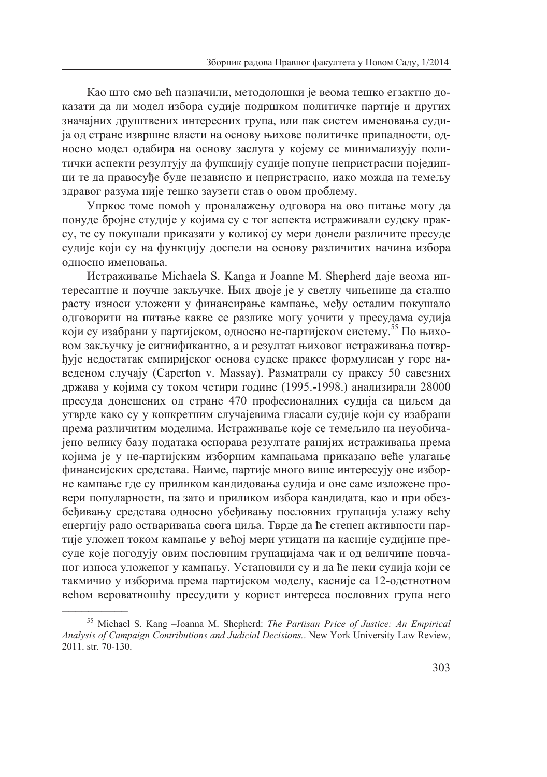Као што смо већ назначили, методолошки је веома тешко егзактно доказати да ли модел избора судије подршком политичке партије и других значајних друштвених интересних група, или пак систем именовања судија од стране извршне власти на основу њихове политичке припадности, односно модел одабира на основу заслуга у којему се минимализују политички аспекти резултују да функцију судије попуне непристрасни појединци те да правосуђе буде независно и непристрасно, иако можда на темељу здравог разума није тешко заузети став о овом проблему.

Упркос томе помоћ у проналажењу одговора на ово питање могу да понуде бројне студије у којима су с тог аспекта истраживали судску праксу, те су покушали приказати у коликој су мери донели различите пресуде судије који су на функцију доспели на основу различитих начина избора односно именовања.

Истраживање Michaela S. Kanga и Joanne M. Shepherd даје веома интересантне и поучне закључке. Њих двоје је у светлу чињенице да стално расту износи уложени у финансирање кампање, међу осталим покушало одговорити на питање какве се разлике могу уочити у пресудама судија који су изабрани у партијском, односно не-партијском систему.<sup>55</sup> По њиховом закључку је сигнификантно, а и резултат њиховог истраживања потврђује недостатак емпиријског основа судске праксе формулисан у горе наведеном случају (Caperton v. Massay). Разматрали су праксу 50 савезних држава у којима су током четири године (1995.-1998.) анализирали 28000 пресуда донешених од стране 470 професионалних судија са циљем да утврде како су у конкретним случајевима гласали судије који су изабрани према различитим моделима. Истраживање које се темељило на неуобичаіено велику базу података оспорава резултате ранијих истраживања према којима је у не-партијским изборним кампањама приказано веће улагање финансијских средстава. Наиме, партије много више интересују оне изборне кампање где су приликом кандидовања судија и оне саме изложене провери популарности, па зато и приликом избора кандидата, као и при обезбеђивању средстава односно убеђивању пословних групација улажу већу енергију радо остваривања свога циља. Тврде да ће степен активности партије уложен током кампање у већој мери утицати на касније судијине пресуде које погодују овим пословним групацијама чак и од величине новчаног износа уложеног у кампању. Установили су и да ће неки судија који се такмичио у изборима према партијском моделу, касније са 12-одстнотном већом вероватношћу пресудити у корист интереса пословних група него

<sup>55</sup> Michael S. Kang –Joanna M. Shepherd: *The Partisan Price of Justice: An Empirical Analysis of Campaign Contributions and Judicial Decisions.*. New York University Law Review, 2011. str. 70-130.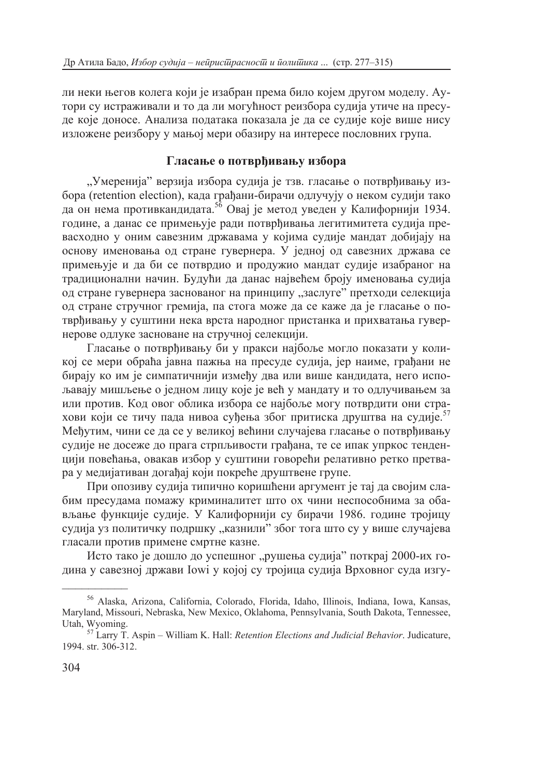ли неки његов колега који је изабран према било којем другом моделу. Аутори су истраживали и то да ли могућност реизбора судија утиче на пресуде које доносе. Анализа података показала је да се судије које више нису изложене реизбору у мањој мери обазиру на интересе пословних група.

#### Гласање о потврђивању избора

"Умеренија" верзија избора судија је тзв. гласање о потврђивању избора (retention election), када грађани-бирачи одлучују о неком судији тако да он нема противкандидата.<sup>56</sup> Овај је метод уведен у Калифорнији 1934. године, а данас се примењује ради потврђивања легитимитета судија превасходно у оним савезним државама у којима судије мандат добијају на основу именовања од стране гувернера. У једној од савезних држава се примењује и да би се потврдио и продужио мандат судије изабраног на традиционални начин. Будући да данас највећем броју именовања судија од стране гувернера заснованог на принципу "заслуге" претходи селекција од стране стручног гремија, па стога може да се каже да је гласање о потврђивању у суштини нека врста народног пристанка и прихватања гувернерове одлуке засноване на стручној селекцији.

Гласање о потврђивању би у пракси најбоље могло показати у коликој се мери обраћа јавна пажња на пресуде судија, јер наиме, грађани не бирају ко им је симпатичнији између два или више кандидата, него испољавају мишљење о једном лицу које је већ у мандату и то одлучивањем за или против. Код овог облика избора се најбоље могу потврдити они страхови који се тичу пада нивоа суђења због притиска друштва на судије.<sup>57</sup> Међутим, чини се да се у великој већини случајева гласање о потврђивању судије не досеже до прага стрпљивости грађана, те се ипак упркос тенденцији повећања, овакав избор у суштини говорећи релативно ретко претвара у медијативан догађај који покреће друштвене групе.

При опозиву судија типично коришћени аргумент је тај да својим слабим пресудама помажу криминалитет што ох чини неспособнима за обављање функције судије. У Калифорнији су бирачи 1986. године тројицу судија уз политичку подршку "казнили" због тога што су у више случајева гласали против примене смртне казне.

Исто тако је дошло до успешног "рушења судија" поткрај 2000-их година у савезној држави Iowi у којој су тројица судија Врховног суда изгу-

<sup>56</sup> Alaska, Arizona, California, Colorado, Florida, Idaho, Illinois, Indiana, Iowa, Kansas, Maryland, Missouri, Nebraska, New Mexico, Oklahoma, Pennsylvania, South Dakota, Tennessee, Utah, Wyoming.

<sup>57</sup> Larry T. Aspin – William K. Hall: *Retention Elections and Judicial Behavior*. Judicature, 1994. str. 306-312.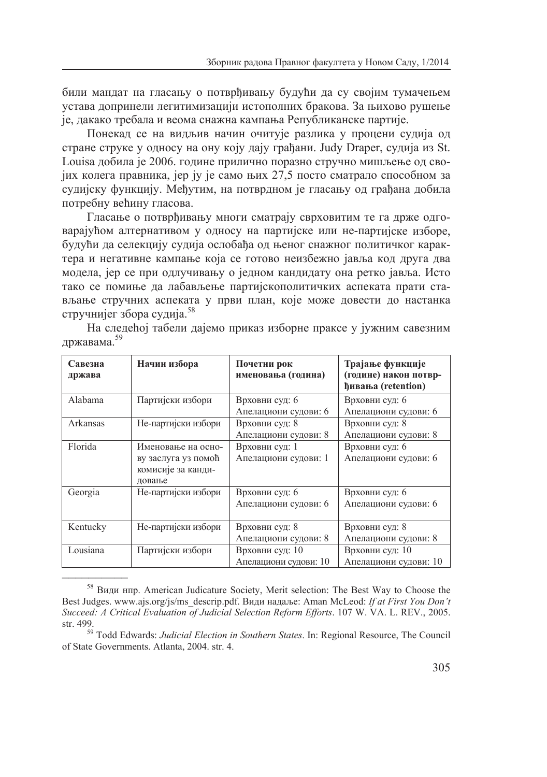били мандат на гласању о потврђивању будући да су својим тумачењем устава допринели легитимизацији истополних бракова. За њихово рушење је, дакако требала и веома снажна кампања Републиканске партије.

Понекад се на видљив начин очитује разлика у процени судија од стране струке у односу на ону коју дају грађани. Judy Draper, судија из St. Louisa добила је 2006. године прилично поразно стручно мишљење од својих колега правника, јер ју је само њих 27,5 посто сматрало способном за судијску функцију. Међутим, на потврдном је гласању од грађана добила потребну већину гласова.

Гласање о потврђивању многи сматрају сврховитим те га држе одговарајућом алтернативом у односу на партијске или не-партијске изборе, будући да селекцију судија ослобађа од њеног снажног политичког карактера и негативне кампање која се готово неизбежно јавља кол лруга лва модела, јер се при одлучивању о једном кандидату она ретко јавља. Исто тако се помиње да лабављење партијскополитичких аспеката прати стављање стручних аспеката у први план, које може довести до настанка стручнијег збора судија.<sup>58</sup>

| Савезна<br>држава | Начин избора                                                              | Почетни рок<br>именовања (година)        | Трајање функције<br>(године) након потвр-<br>hивања (retention) |
|-------------------|---------------------------------------------------------------------------|------------------------------------------|-----------------------------------------------------------------|
| Alabama           | Партијски избори                                                          | Врховни суд: 6<br>Апелациони судови: 6   | Врховни суд: 6<br>Апелациони судови: 6                          |
| Arkansas          | Не-партијски избори                                                       | Врховни суд: 8<br>Апелациони судови: 8   | Врховни суд: 8<br>Апелациони судови: 8                          |
| Florida           | Именовање на осно-<br>ву заслуга уз помоћ<br>комисије за канди-<br>довање | Врховни суд: 1<br>Апелациони судови: 1   | Врховни суд: 6<br>Апелациони судови: 6                          |
| Georgia           | Не-партијски избори                                                       | Врховни суд: 6<br>Апелациони судови: 6   | Врховни суд: 6<br>Апелациони судови: 6                          |
| Kentucky          | Не-партијски избори                                                       | Врховни суд: 8<br>Апелациони судови: 8   | Врховни суд: 8<br>Апелациони судови: 8                          |
| Lousiana          | Партијски избори                                                          | Врховни суд: 10<br>Апелациони судови: 10 | Врховни суд: 10<br>Апелациони судови: 10                        |

На следећој табели дајемо приказ изборне праксе у јужним савезним државама.<sup>59</sup>

<sup>&</sup>lt;sup>58</sup> Види нпр. American Judicature Society, Merit selection: The Best Way to Choose the Best Judges. www.ajs.org/js/ms\_descrip.pdf. Види надаље: Aman McLeod: *If at First You Don't Succeed: A Critical Evaluation of Judicial Selection Reform Efforts*. 107 W. VA. L. REV., 2005. str. 499.

<sup>59</sup> Todd Edwards: *Judicial Election in Southern States*. In: Regional Resource, The Council of State Governments. Atlanta, 2004. str. 4.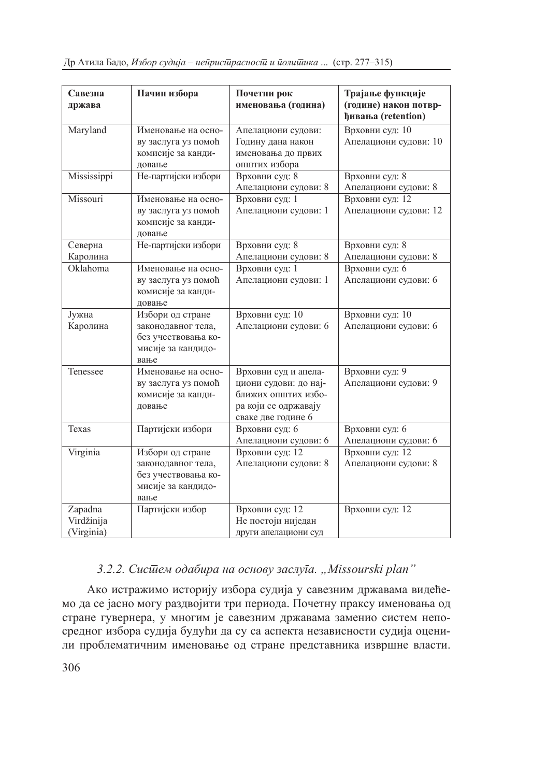| Савезна<br>држава                   | Начин избора                                                                                | Почетни рок<br>именовања (година)                                                                                  | Трајање функције<br>(године) након потвр-<br>ђивања (retention) |
|-------------------------------------|---------------------------------------------------------------------------------------------|--------------------------------------------------------------------------------------------------------------------|-----------------------------------------------------------------|
| Maryland                            | Именовање на осно-<br>ву заслуга уз помоћ<br>комисије за канди-<br>довање                   | Апелациони судови:<br>Годину дана након<br>именовања до првих<br>општих избора                                     | Врховни суд: 10<br>Апелациони судови: 10                        |
| Mississippi                         | Не-партијски избори                                                                         | Врховни суд: 8<br>Апелациони судови: 8                                                                             | Врховни суд: 8<br>Апелациони судови: 8                          |
| Missouri                            | Именовање на осно-<br>ву заслуга уз помоћ<br>комисије за канди-<br>довање                   | Врховни суд: 1<br>Апелациони судови: 1                                                                             | Врховни суд: 12<br>Апелациони судови: 12                        |
| Северна<br>Каролина                 | Не-партијски избори                                                                         | Врховни суд: 8<br>Апелациони судови: 8                                                                             | Врховни суд: 8<br>Апелациони судови: 8                          |
| Oklahoma                            | Именовање на осно-<br>ву заслуга уз помоћ<br>комисије за канди-<br>довање                   | Врховни суд: 1<br>Апелациони судови: 1                                                                             | Врховни суд: 6<br>Апелациони судови: 6                          |
| Јужна<br>Каролина                   | Избори од стране<br>законодавног тела,<br>без учествовања ко-<br>мисије за кандидо-<br>вање | Врховни суд: 10<br>Апелациони судови: 6                                                                            | Врховни суд: 10<br>Апелациони судови: 6                         |
| Tenessee                            | Именовање на осно-<br>ву заслуга уз помоћ<br>комисије за канди-<br>довање                   | Врховни суд и апела-<br>циони судови: до нај-<br>ближих општих избо-<br>ра који се одржавају<br>сваке две године 6 | Врховни суд: 9<br>Апелациони судови: 9                          |
| Texas                               | Партијски избори                                                                            | Врховни суд: 6<br>Апелациони судови: 6                                                                             | Врховни суд: 6<br>Апелациони судови: 6                          |
| Virginia                            | Избори од стране<br>законодавног тела,<br>без учествовања ко-<br>мисије за кандидо-<br>вање | Врховни суд: 12<br>Апелациони судови: 8                                                                            | Врховни суд: 12<br>Апелациони судови: 8                         |
| Zapadna<br>Virdžinija<br>(Virginia) | Партијски избор                                                                             | Врховни суд: 12<br>Не постоји ниједан<br>други апелациони суд                                                      | Врховни суд: 12                                                 |

# 3.2.2. Сисшем одабира на основу заслуїа. "Missourski plan"

Ако истражимо историју избора судија у савезним државама видећемо да се јасно могу раздвојити три периода. Почетну праксу именовања од стране гувернера, у многим је савезним државама заменио систем непосредног избора судија будући да су са аспекта независности судија оценили проблематичним именовање од стране представника извршне власти.

306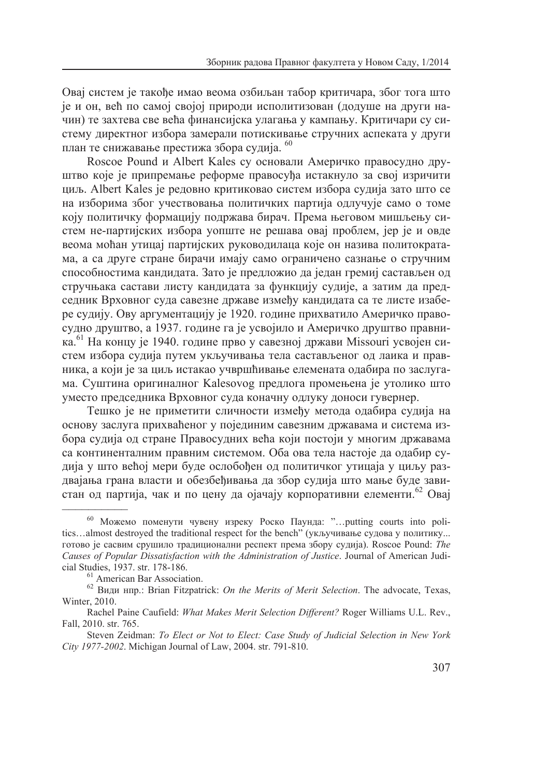Овај систем је такође имао веома озбиљан табор критичара, због тога што іє и он, већ по самој својој природи исполитизован (додуше на други начин) те захтева све већа финансијска улагања у кампању. Критичари су систему лиректног избора замерали потискивање стручних аспеката у лруги план те снижавање престижа збора судија. <sup>60</sup>

Roscoe Pound и Albert Kales су основали Америчко правосудно друштво које је припремање реформе правосућа истакнуло за свој изричити циљ. Albert Kales је редовно критиковао систем избора судија зато што се на изборима због учествовања политичких партија одлучује само о томе коју политичку формацију подржава бирач. Према његовом мишљењу систем не-партијских избора уопште не решава овај проблем, јер је и овде веома моћан утицај партијских руководилаца које он назива политократама, а са друге стране бирачи имају само ограничено сазнање о стручним способностима кандидата. Зато је предложио да један гремиј састављен од стручњака састави листу кандидата за функцију судије, а затим да председник Врховног суда савезне државе између кандидата са те листе изабере судију. Ову аргументацију је 1920. године прихватило Америчко правосудно друштво, а 1937. године га је усвојило и Америчко друштво правника.<sup>61</sup> На концу је 1940. године прво у савезној држави Missouri усвојен систем избора судија путем укључивања тела састављеног од лаика и правника, а који је за циљ истакао учвршћивање елемената одабира по заслугама. Суштина оригиналног Kalesovog предлога промењена је утолико што уместо председника Врховног суда коначну одлуку доноси гувернер.

Тешко је не приметити сличности између метода одабира судија на основу заслуга прихваћеног у појединим савезним државама и система избора судија од стране Правосудних већа који постоји у многим државама са континенталним правним системом. Оба ова тела настоје да одабир судија у што већој мери буде ослобођен од политичког утицаја у циљу раздвајања грана власти и обезбеђивања да збор судија што мање буде завистан од партија, чак и по цену да ојачају корпоративни елементи.<sup>62</sup> Овај

 $^{60}$  Можемо поменути чувену изреку Роско Паунда: "... putting courts into politics…almost destroyed the traditional respect for the bench" (укључивање судова у политику... готово је сасвим срушило традиционални респект према збору судија). Roscoe Pound: The *Causes of Popular Dissatisfaction with the Administration of Justice*. Journal of American Judicial Studies, 1937. str. 178-186.

<sup>&</sup>lt;sup>61</sup> American Bar Association.

<sup>&</sup>lt;sup>62</sup> Види нпр.: Brian Fitzpatrick: *On the Merits of Merit Selection*. The advocate, Texas, Winter, 2010.

Rachel Paine Caufield: *What Makes Merit Selection Different?* Roger Williams U.L. Rev., Fall, 2010. str. 765.

Steven Zeidman: *To Elect or Not to Elect: Case Study of Judicial Selection in New York City 1977-2002*. Michigan Journal of Law, 2004. str. 791-810.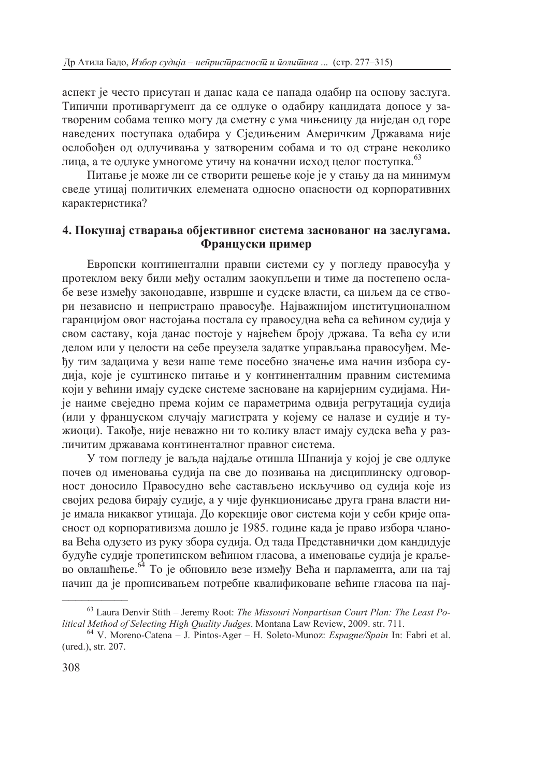аспект је често присутан и данас када се напада одабир на основу заслуга. Типични противаргумент да се одлуке о одабиру кандидата доносе у затвореним собама тешко могу да сметну с ума чињеницу да ниједан од горе наведених поступака одабира у Сједињеним Америчким Државама није ослобођен од одлучивања у затвореним собама и то од стране неколико лица, а те одлуке умногоме утичу на коначни исход целог поступка.<sup>63</sup>

Питање је може ли се створити решење које је у стању да на минимум сведе утицај политичких елемената односно опасности од корпоративних карактеристика?

### 4. Покушај стварања објективног система заснованог на заслугама.  $\Phi$ ранцуски пример

Европски континентални правни системи су у погледу правосуђа у протеклом веку били међу осталим заокупљени и тиме да постепено ослабе везе између законодавне, извршне и судске власти, са циљем да се створи независно и непристрано правосуђе. Најважнијом институционалном гаранцијом овог настојања постала су правосудна већа са већином судија у свом саставу, која данас постоје у највећем броју држава. Та већа су или делом или у целости на себе преузела задатке управљања правосуђем. Међу тим задацима у вези наше теме посебно значење има начин избора судија, које је суштинско питање и у континенталним правним системима који у већини имају судске системе засноване на каријерним судијама. Није наиме свеједно према којим се параметрима одвија регрутација судија (или у француском случају магистрата у којему се налазе и судије и тужиоци). Такође, није неважно ни то колику власт имају судска већа у различитим државама континенталног правног система.

У том погледу је ваљда најдаље отишла Шпанија у којој је све одлуке почев од именовања судија па све до позивања на дисциплинску одговорност доносило Правосудно веће састављено искључиво од судија које из својих редова бирају судије, а у чије функционисање друга грана власти није имала никаквог утицаја. До корекције овог система који у себи крије опасност од корпоративизма дошло је 1985. године када је право избора чланова Већа одузето из руку збора судија. Од тада Представнички дом кандидује будуће судије тропетинском већином гласова, а именовање судија је краљево овлашћење.<sup>64</sup> То је обновило везе између Већа и парламента, али на тај начин да је прописивањем потребне квалификоване већине гласова на нај-

<sup>63</sup> Laura Denvir Stith – Jeremy Root: *The Missouri Nonpartisan Court Plan: The Least Political Method of Selecting High Quality Judges*. Montana Law Review, 2009. str. 711.

<sup>64</sup> V. Moreno-Catena – J. Pintos-Ager – H. Soleto-Munoz: *Espagne/Spain* In: Fabri et al. (ured.), str. 207.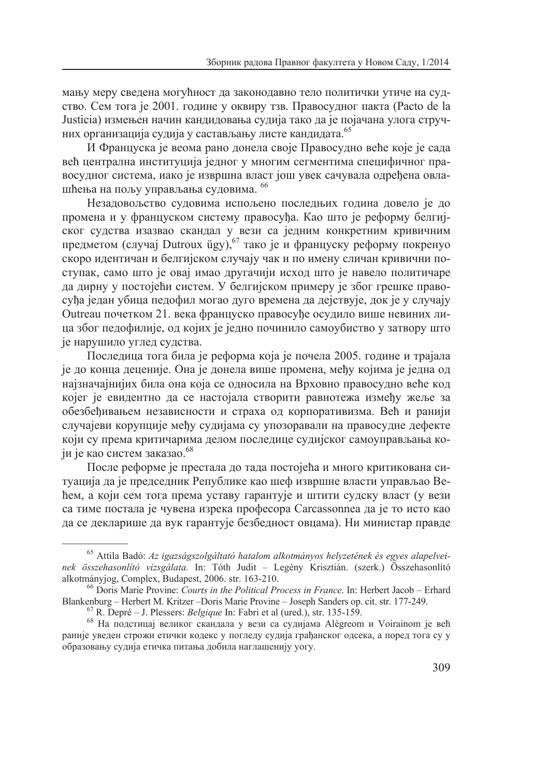мању меру сведена могућност да законодавно тело политички утиче на судство. Сем тога је 2001. године у оквиру тзв. Правосудног пакта (Pacto de la Justicia) измењен начин кандидовања судија тако да је појачана улога стручних организација судија у састављању листе кандидата.<sup>65</sup>

И Француска је веома рано донела своје Правосудно веће које је сада већ централна институција једног у многим сегментима специфичног правосудног система, иако је извршна власт још увек сачувала одређена овлашћења на пољу управљања судовима. <sup>66</sup>

Незадовољство судовима испољено последњих година довело је до промена и у француском систему правосуђа. Као што је реформу белгијског судства изазвао скандал у вези са једним конкретним кривичним предметом (случај Dutroux ügy),<sup>67</sup> тако је и француску реформу покренуо скоро идентичан и белгијском случају чак и по имену сличан кривични поступак, само што је овај имао другачији исход што је навело политичаре да дирну у постојећи систем. У белгијском примеру је због грешке правосуђа један убица педофил могао дуго времена да дејствује, док је у случају Outreau почетком 21. века француско правосуђе осудило више невиних лица због педофилије, од којих је једно починило самоубиство у затвору што је нарушило углед судства.

Последица тога била је реформа која је почела 2005. године и трајала іе до конца деценије. Она је донела више промена, међу којима је једна од најзначајнијих била она која се односила на Врховно правосудно веће код којег је евидентно да се настојала створити равнотежа између жеље за обезбеђивањем независности и страха од корпоративизма. Већ и ранији случајеви корупције међу судијама су упозоравали на правосудне дефекте који су према критичарима делом последице судијског самоуправљања који је као систем заказао.<sup>68</sup>

После реформе је престала до тада постојећа и много критикована ситуација да је председник Републике као шеф извршне власти управљао Већем, а који сем тога према уставу гарантује и штити судску власт (у вези са тиме постала је чувена изрека професора Carcassonnea да је то исто као да се декларише да вук гарантује безбедност овцама). Ни министар правде

<sup>65</sup> Attila Badó: *Az igazságszolgáltató hatalom alkotmányos helyzetének és egyes alapelveinek összehasonlító vizsgálata.* In: Tóth Judit – Legény Krisztián. (szerk.) Összehasonlító alkotmányjog, Complex, Budapest, 2006. str. 163-210.

<sup>66</sup> Doris Marie Provine: *Courts in the Political Process in France*. In: Herbert Jacob – Erhard Blankenburg – Herbert M. Kritzer –Doris Marie Provine – Joseph Sanders op. cit. str. 177-249.

<sup>67</sup> R. Depré – J. Plessers: *Belgique* In: Fabri et al (ured.), str. 135-159.

<sup>&</sup>lt;sup>68</sup> На подстицај великог скандала у вези са судијама Alègreom и Voirainom је већ раније уведен строжи етички кодекс у погледу судија грађанског одсека, а поред тога су у образовању судија етичка питања добила наглашенију уогу.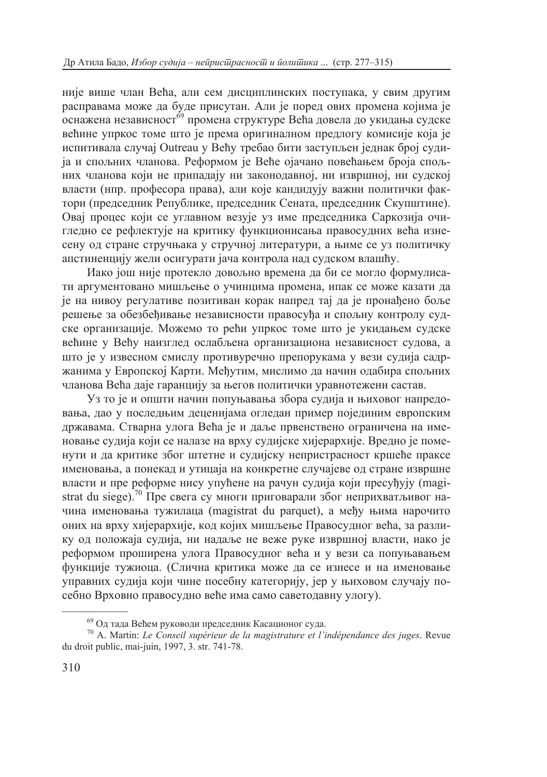није више члан Већа, али сем дисциплинских поступака, у свим другим расправама може да буде присутан. Али је поред ових промена којима је оснажена независност<sup>69</sup> промена структуре Већа довела до укидања судске већине упркос томе што је према оригиналном предлогу комисије која је испитивала случај Outreau у Већу требао бити заступљен једнак број судија и спољних чланова. Реформом је Веће ојачано повећањем броја спољних чланова који не припадају ни законодавној, ни извршној, ни судској власти (нпр. професора права), али које кандидују важни политички фактори (председник Републике, председник Сената, председник Скупштине). Овај процес који се углавном везује уз име председника Саркозија очигледно се рефлектује на критику функционисања правосудних већа изнесену од стране стручњака у стручној литератури, а њиме се уз политичку апстиненцију жели осигурати јача контрола над судском влашћу.

Иако још није протекло довољно времена да би се могло формулисати аргументовано мишљење о учинцима промена, ипак се може казати да је на нивоу регулативе позитиван корак напред тај да је пронађено боље решење за обезбеђивање независности правосуђа и спољну контролу судске организације. Можемо то рећи упркос томе што је укидањем судске већине у Већу наизглед ослабљена организациона независност судова, а што је у извесном смислу противуречно препорукама у вези судија садржанима у Европској Карти. Међутим, мислимо да начин одабира спољних чланова Већа даје гаранцију за његов политички уравнотежени састав.

Уз то је и општи начин попуњавања збора судија и њиховог напредовања, дао у последњим деценијама огледан пример појединим европским државама. Стварна улога Већа је и даље првенствено ограничена на именовање судија који се налазе на врху судијске хијерархије. Вредно је поменути и да критике због штетне и судијску непристрасност кршеће праксе именовања, а понекад и утицаја на конкретне случајеве од стране извршне власти и пре реформе нису упућене на рачун судија који пресуђују (magistrat du siege).<sup>70</sup>  $\overline{II}$ ре свега су многи приговарали због неприхватљивог начина именовања тужилаца (magistrat du parquet), а међу њима нарочито оних на врху хијерархије, код којих мишљење Правосудног већа, за разлику од положаја судија, ни надаље не веже руке извршној власти, иако је реформом проширена улога Правосудног већа и у вези са попуњавањем функције тужиоца. (Слична критика може да се изнесе и на именовање управних судија који чине посебну категорију, јер у њиховом случају посебно Врховно правосудно веће има само саветодавну улогу).

<sup>69</sup> Од тада Већем руководи председник Касационог суда.

<sup>70</sup> A. Martin: *Le Conseil supérieur de la magistrature et l'indépendance des juges*. Revue du droit public, mai-juin, 1997, 3. str. 741-78.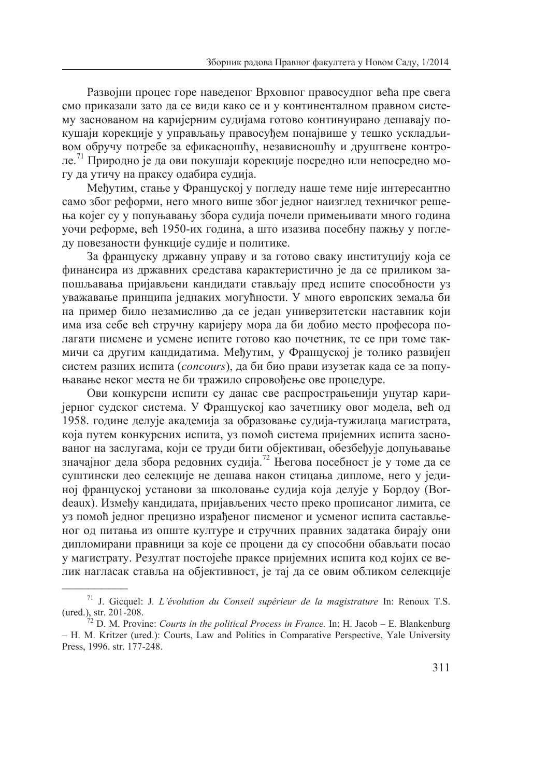Развојни процес горе наведеног Врховног правосудног већа пре свега смо приказали зато ла се вили како се и у континенталном правном систему заснованом на каријерним судијама готово континуирано дешавају покушаји корекције у управљању правосуђем понајвише у тешко ускладљивом обручу потребе за ефикасношћу, независношћу и друштвене контроле.<sup>71</sup> Природно је да ови покушаји корекције посредно или непосредно могу да утичу на праксу одабира судија.

Међутим, стање у Француској у погледу наше теме није интересантно само због реформи, него много више због једног наизглед техничког решења којег су у попуњавању збора судија почели примењивати много година уочи реформе, већ 1950-их година, а што изазива посебну пажњу у погледу повезаности функције судије и политике.

За француску државну управу и за готово сваку институцију која се финансира из државних средстава карактеристично је да се приликом запошљавања пријављени кандидати стављају пред испите способности уз уважавање принципа једнаких могућности. У много европских земаља би на пример било незамисливо да се један универзитетски наставник који има иза себе већ стручну каријеру мора да би добио место професора полагати писмене и усмене испите готово као почетник, те се при томе такмичи са другим кандидатима. Међутим, у Француској је толико развијен систем разних испита (*concours*), да би био прави изузетак када се за попуњавање неког места не би тражило спровођење ове процедуре.

Ови конкурсни испити су данас све распрострањенији унутар каријерног судског система. У Француској као зачетнику овог модела, већ од 1958. године делује академија за образовање судија-тужилаца магистрата, која путем конкурсних испита, уз помоћ система пријемних испита заснованог на заслугама, који се труди бити објективан, обезбеђује допуњавање значајног дела збора редовних судија.<sup>72</sup> Његова посебност је у томе да се суштински део селекције не дешава након стицања дипломе, него у јединој француској установи за школовање судија која делује у Бордоу (Bordeaux). Између кандидата, пријављених често преко прописаног лимита, се уз помоћ једног прецизно израђеног писменог и усменог испита састављеног од питања из опште културе и стручних правних задатака бирају они дипломирани правници за које се процени да су способни обављати посао у магистрату. Резултат постојеће праксе пријемних испита код којих се велик нагласак ставља на објективност, је тај да се овим обликом селекције

<sup>71</sup> J. Gicquel: J. *L'évolution du Conseil supérieur de la magistrature* In: Renoux T.S. (ured.), str. 201-208.

<sup>72</sup> D. M. Provine: *Courts in the political Process in France.* In: H. Jacob – E. Blankenburg – H. M. Kritzer (ured.): Courts, Law and Politics in Comparative Perspective, Yale University Press, 1996. str. 177-248.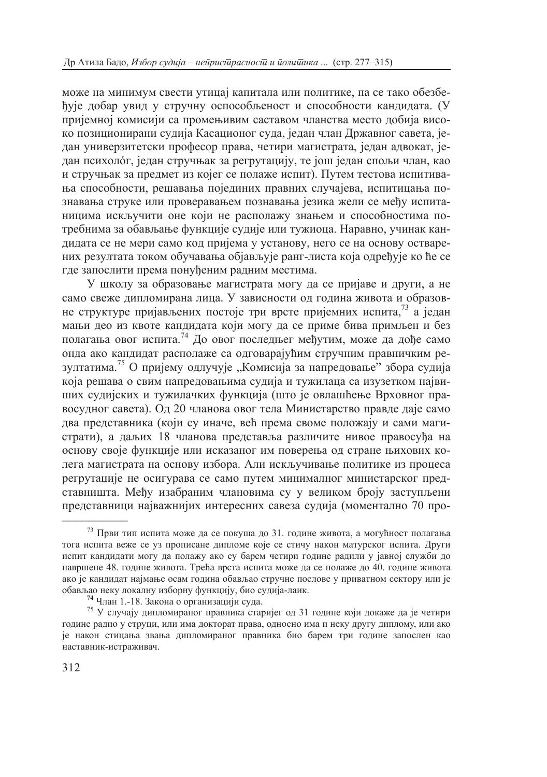може на минимум свести утицај капитала или политике, па се тако обезбећује добар увид у стручну оспособљеност и способности кандидата. (У пријемној комисији са промењивим саставом чланства место добија високо позиционирани судија Касационог суда, један члан Државног савета, један универзитетски професор права, четири магистрата, један адвокат, један психоло́г, један стручњак за регрутацију, те још један спољи члан, као и стручњак за предмет из којег се полаже испит). Путем тестова испитивања способности, решавања појелиних правних случајева, испитицања познавања струке или проверавањем познавања језика жели се међу испитаницима искључити оне који не располажу знањем и способностима потребнима за обављање функције судије или тужиоца. Наравно, учинак кандидата се не мери само код пријема у установу, него се на основу остварених резултата током обучавања објављује ранг-листа која одређује ко ће се где запослити према понуђеним радним местима.

У школу за образовање магистрата могу да се пријаве и други, а не само свеже дипломирана лица. У зависности од година живота и образовне структуре пријављених постоје три врсте пријемних испита,<sup>73</sup> а један мањи део из квоте кандидата који могу да се приме бива примљен и без полагања овог испита.<sup>74</sup> До овог последњег међутим, може да дође само онда ако кандидат располаже са одговарајућим стручним правничким резултатима.<sup>75</sup> О пријему одлучује "Комисија за напредовање" збора судија која решава о свим напредовањима судија и тужилаца са изузетком највиших судијских и тужилачких функција (што је овлашћење Врховног правосудног савета). Од 20 чланова овог тела Министарство правде даје само два представника (који су иначе, већ према своме положају и сами магистрати), а даљих 18 чланова представља различите нивое правосуђа на основу своје функције или исказаног им поверења од стране њихових колега магистрата на основу избора. Али искључивање политике из процеса регрутације не осигурава се само путем минималног министарског представништа. Међу изабраним члановима су у великом броју заступљени представници најважнијих интересних савеза судија (моментално 70 про-

 $^{73}$  Први тип испита може да се покуша до 31. године живота, а могућност полагања тога испита веже се уз прописане дипломе које се стичу након матурског испита. Други испит кандидати могу да полажу ако су барем четири године радили у јавној служби до навршене 48. године живота. Трећа врста испита може да се полаже до 40. године живота ако је кандидат најмање осам година обављао стручне послове у приватном сектору или је обављао неку локалну изборну функцију, био судија-лаик.

<sup>&</sup>lt;sup>74</sup> Члан 1.-18. Закона о организацији суда.

<sup>75</sup> У случају дипломираног правника старијег од 31 године који докаже да је четири године радио у струци, или има докторат права, односно има и неку другу диплому, или ако је након стицања звања дипломираног правника био барем три године запослен као наставник-истраживач.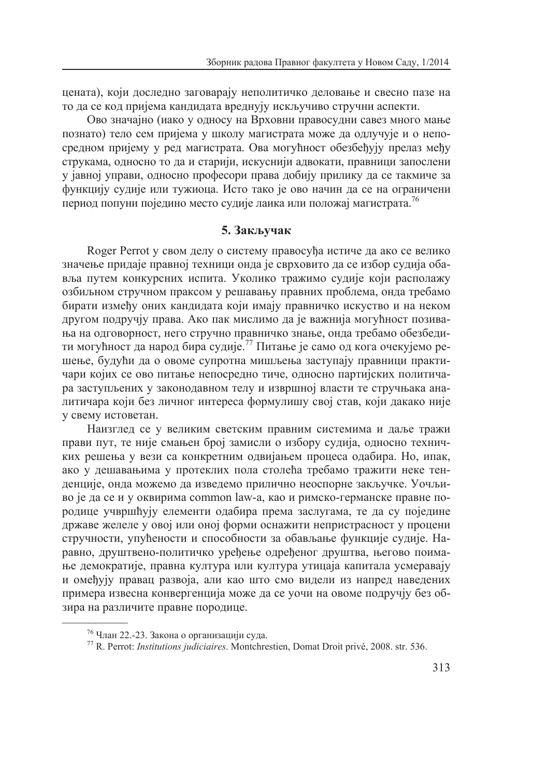цената), који доследно заговарају неполитичко деловање и свесно пазе на то да се код пријема кандидата вреднују искључиво стручни аспекти.

Ово значајно (иако у односу на Врховни правосудни савез много мање познато) тело сем пријема у школу магистрата може да одлучује и о непосредном пријему у ред магистрата. Ова могућност обезбеђују прелаз међу струкама, односно то да и старији, искуснији адвокати, правници запослени у јавној управи, односно професори права добију прилику да се такмиче за функцију судије или тужиоца. Исто тако је ово начин да се на ограничени период попуни поједино место судије лаика или положај магистрата.<sup>76</sup>

#### 5. Закључак

Roger Perrot у свом делу о систему правосуђа истиче да ако се велико значење придаје правној техници онда је сврховито да се избор судија обавља путем конкурсних испита. Уколико тражимо судије који располажу озбиљном стручном праксом у решавању правних проблема, онда требамо бирати између оних кандидата који имају правничко искуство и на неком другом подручју права. Ако пак мислимо да је важнија могућност позивања на одговорност, него стручно правничко знање, онда требамо обезбедити могућност да народ бира судије.<sup>77</sup> Питање је само од кога очекујемо решење, будући да о овоме супротна мишљења заступају правници практичари којих се ово питање непосредно тиче, односно партијских политичара заступљених у законодавном телу и извршној власти те стручњака аналитичара који без личног интереса формулишу свој став, који дакако није у свему истоветан.

Наизглед се у великим светским правним системима и даље тражи прави пут, те није смањен број замисли о избору судија, односно техничких решења у вези са конкретним одвијањем процеса одабира. Но, ипак, ако у дешавањима у протеклих пола столећа требамо тражити неке тенденције, онда можемо да изведемо прилично неоспорне закључке. Уочљиво је да се и у оквирима common law-а, као и римско-германске правне породице учвршћују елементи одабира према заслугама, те да су поједине државе желеле у овој или оној форми оснажити непристрасност у процени стручности, упућености и способности за обављање функције судије. Наравно, друштвено-политичко уређење одређеног друштва, његово поимање демократије, правна култура или култура утицаја капитала усмеравају и омеђују правац развоја, али као што смо видели из напред наведених примера извесна конвергенција може да се уочи на овоме подручју без обзира на различите правне породице.

 $^{76}$  Члан 22.-23. Закона о организацији суда.

<sup>77</sup> R. Perrot: *Institutions judiciaires*. Montchrestien, Domat Droit privé, 2008. str. 536.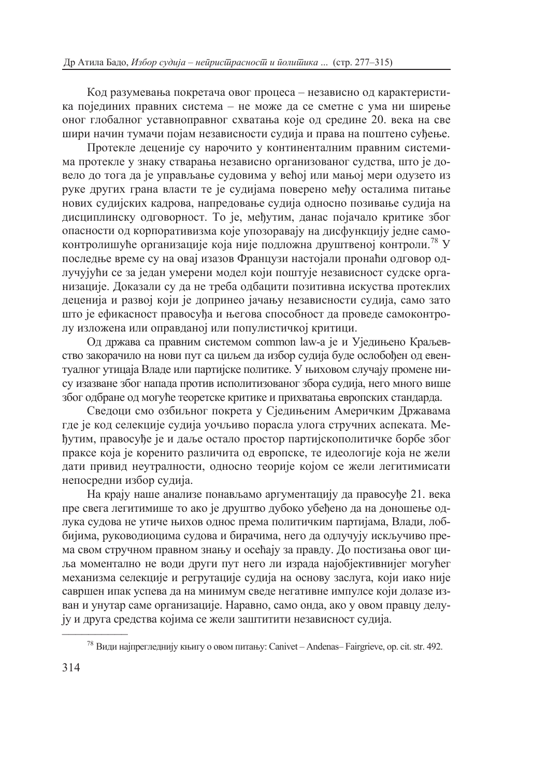Код разумевања покретача овог процеса – независно од карактеристика појединих правних система – не може да се сметне с ума ни ширење оног глобалног уставноправног схватања које од средине 20. века на све шири начин тумачи појам независности судија и права на поштено суђење.

Протекле деценије су нарочито у континенталним правним системима протекле у знаку стварања независно организованог судства, што је довело до тога да је управљање судовима у већој или мањој мери одузето из руке других грана власти те је судијама поверено међу осталима питање нових судијских кадрова, напредовање судија односно позивање судија на дисциплинску одговорност. То је, међутим, данас појачало критике због опасности од корпоративизма које упозоравају на дисфункцију једне самоконтролишуће организације која није подложна друштвеној контроли.<sup>78</sup> У последње време су на овај изазов Французи настојали пронаћи одговор одлучујући се за један умерени модел који поштује независност судске организације. Доказали су да не треба одбацити позитивна искуства протеклих деценија и развој који је допринео јачању независности судија, само зато што је ефикасност правосуђа и његова способност да проведе самоконтролу изложена или оправданој или популистичкој критици.

Од држава са правним системом common law-а је и Уједињено Краљевство закорачило на нови пут са циљем да избор судија буде ослобођен од евентуалног утицаја Владе или партијске политике. У њиховом случају промене нису изазване због напада против исполитизованог збора судија, него много више због одбране од могуће теоретске критике и прихватања европских стандарда.

Сведоци смо озбиљног покрета у Сједињеним Америчким Државама где је код селекције судија уочљиво порасла улога стручних аспеката. Међутим, правосуђе је и даље остало простор партијскополитичке борбе због праксе која је коренито различита од европске, те идеологије која не жели дати привид неутралности, односно теорије којом се жели легитимисати непосредни избор судија.

На крају наше анализе понављамо аргументацију да правосуђе 21. века пре свега легитимише то ако је друштво дубоко убеђено да на доношење одлука судова не утиче њихов однос према политичким партијама, Влади, лоббијима, руководиоцима судова и бирачима, него да одлучују искључиво према свом стручном правном знању и осећају за правду. До постизања овог циља моментално не води други пут него ли израда најобјективнијег могућег механизма селекције и регрутације судија на основу заслуга, који иако није савршен ипак успева да на минимум сведе негативне импулсе који долазе изван и унутар саме организације. Наравно, само онда, ако у овом правцу делуіу и друга средства којима се жели заштитити независност судија.

<sup>&</sup>lt;sup>78</sup> Види најпрегледнију књигу о овом питању: Canivet – Andenas– Fairgrieve, op. cit. str. 492.